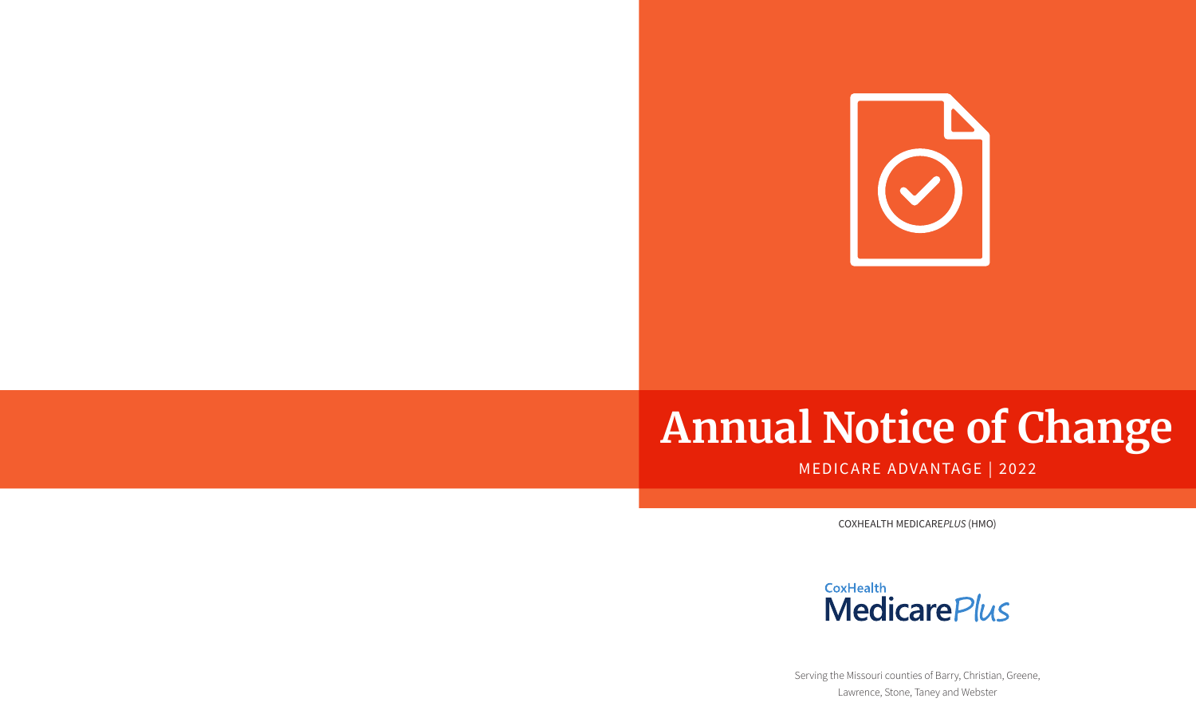

# **Annual Notice of Change**

# MEDICARE ADVANTAGE | 2022

COXHEALTH MEDICARE*PLUS* (HMO)



Serving the Missouri counties of Barry, Christian, Greene, Lawrence, Stone, Taney and Webster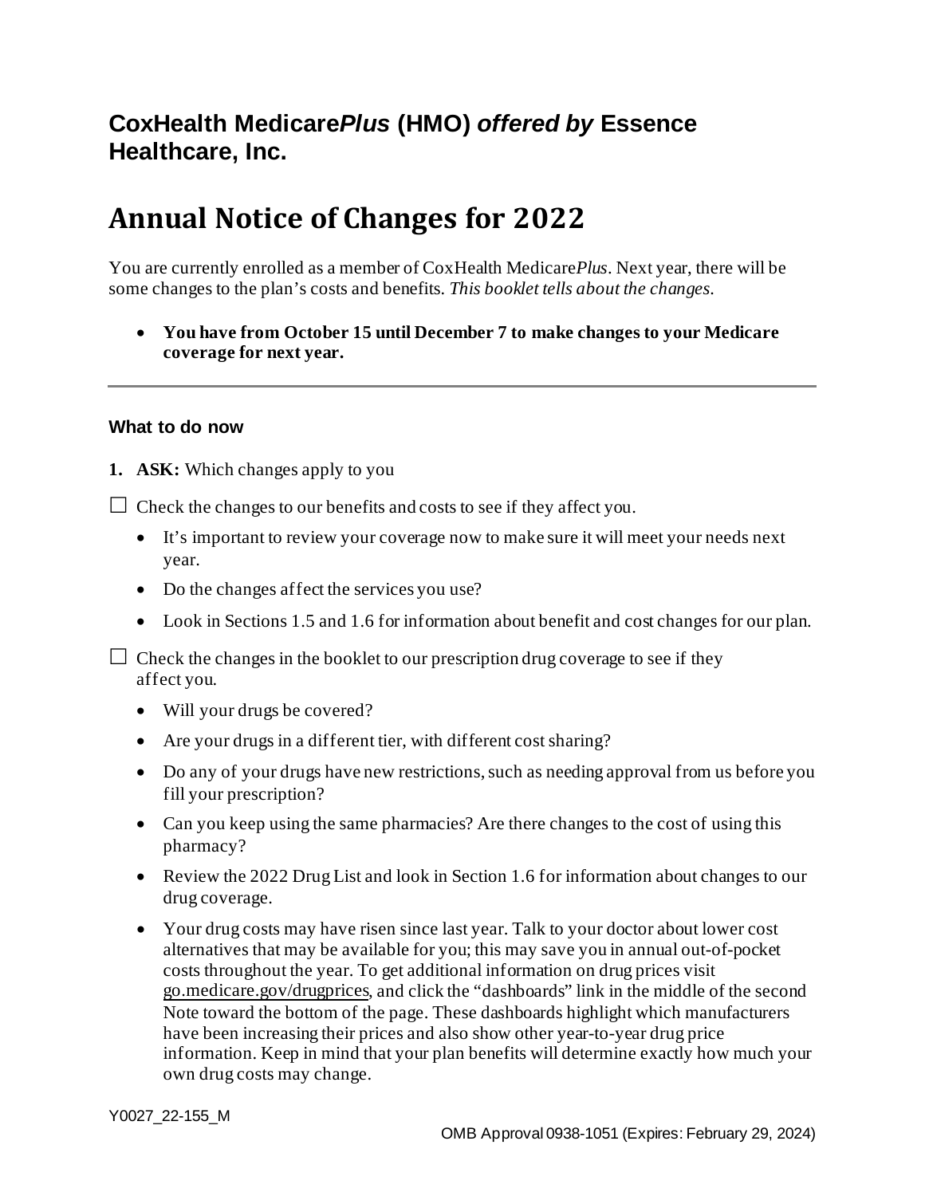# **CoxHealth Medicare***Plus* **(HMO)** *offered by* **Essence Healthcare, Inc.**

# **Annual Notice of Changes for 2022**

You are currently enrolled as a member of CoxHealth Medicare*Plus*. Next year, there will be some changes to the plan's costs and benefits*. This booklet tells about the changes.*

• **You have from October 15 until December 7 to make changes to your Medicare coverage for next year.**

#### **What to do now**

**1. ASK:** Which changes apply to you

 $\Box$  Check the changes to our benefits and costs to see if they affect you.

- It's important to review your coverage now to make sure it will meet your needs next year.
- Do the changes affect the services you use?
- Look in Sections 1.5 and 1.6 for information about benefit and cost changes for our plan.

 $\Box$  Check the changes in the booklet to our prescription drug coverage to see if they affect you.

- Will your drugs be covered?
- Are your drugs in a different tier, with different cost sharing?
- Do any of your drugs have new restrictions, such as needing approval from us before you fill your prescription?
- Can you keep using the same pharmacies? Are there changes to the cost of using this pharmacy?
- Review the 2022 Drug List and look in Section 1.6 for information about changes to our drug coverage.
- Your drug costs may have risen since last year. Talk to your doctor about lower cost alternatives that may be available for you; this may save you in annual out-of-pocket costs throughout the year. To get additional information on drug prices visit [go.medicare.gov/drugprices](https://go.medicare.gov/drugprices), and click the "dashboards" link in the middle of the second Note toward the bottom of the page. These dashboards highlight which manufacturers have been increasing their prices and also show other year-to-year drug price information. Keep in mind that your plan benefits will determine exactly how much your own drug costs may change.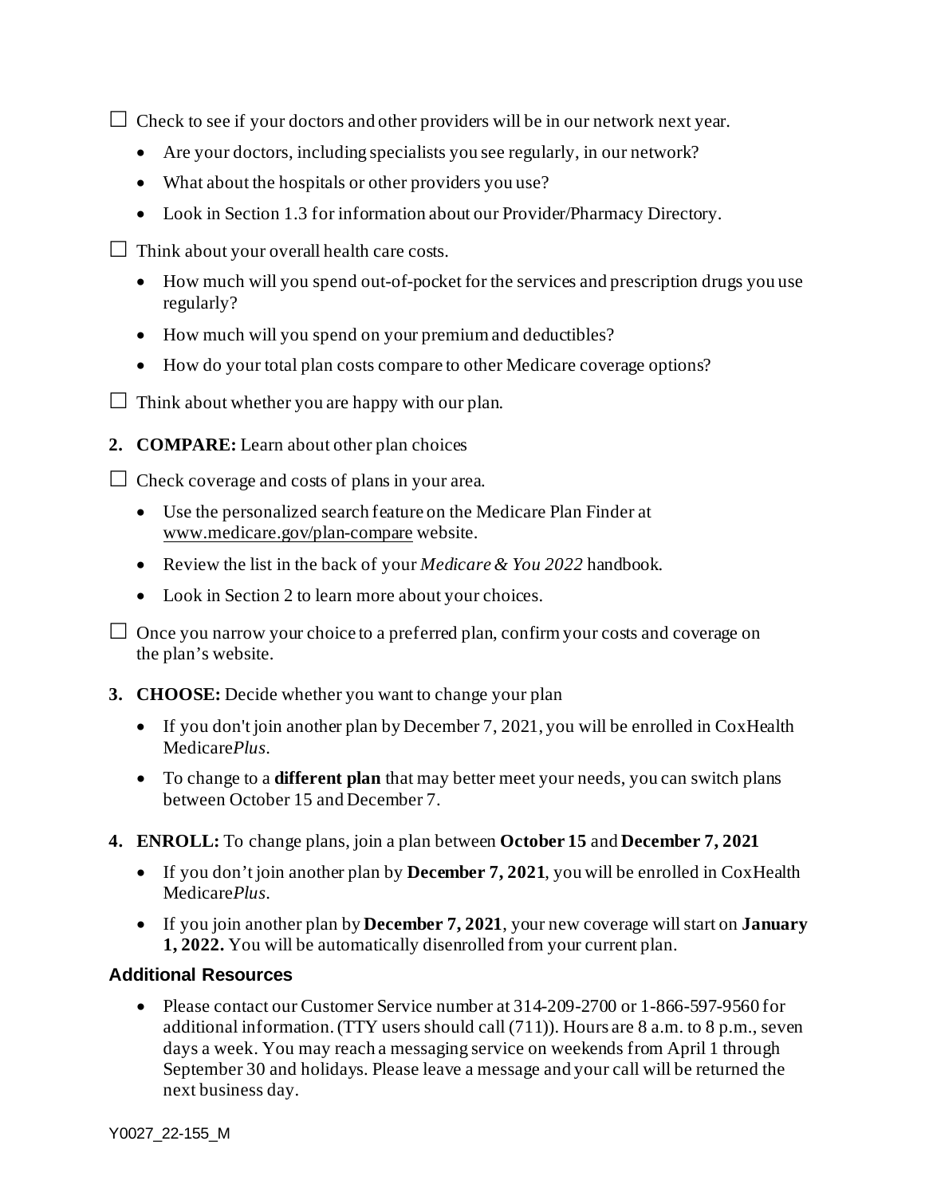$\Box$  Check to see if your doctors and other providers will be in our network next year.

- Are your doctors, including specialists you see regularly, in our network?
- What about the hospitals or other providers you use?
- Look in Section 1.3 for information about our Provider/Pharmacy Directory.
- $\Box$  Think about your overall health care costs.
	- How much will you spend out-of-pocket for the services and prescription drugs you use regularly?
	- How much will you spend on your premium and deductibles?
	- How do your total plan costs compare to other Medicare coverage options?
- $\Box$  Think about whether you are happy with our plan.
- **2. COMPARE:** Learn about other plan choices

 $\Box$  Check coverage and costs of plans in your area.

- Use the personalized search feature on the Medicare Plan Finder at [www.medicare.gov/plan-compare](http://www.medicare.gov/plan-compare) website.
- Review the list in the back of your *Medicare & You 2022* handbook.
- Look in Section 2 to learn more about your choices.

 $\Box$  Once you narrow your choice to a preferred plan, confirm your costs and coverage on the plan's website.

- **3. CHOOSE:** Decide whether you want to change your plan
	- If you don't join another plan by December 7, 2021, you will be enrolled in CoxHealth Medicare*Plus*.
	- To change to a **different plan** that may better meet your needs, you can switch plans between October 15 and December 7.
- **4. ENROLL:** To change plans, join a plan between **October 15** and **December 7, 2021**
	- If you don't join another plan by **December 7, 2021**, you will be enrolled in CoxHealth Medicare*Plus*.
	- If you join another plan by **December 7, 2021**, your new coverage will start on **January 1, 2022.** You will be automatically disenrolled from your current plan.

#### **Additional Resources**

• Please contact our Customer Service number at  $314-209-2700$  or 1-866-597-9560 for additional information. (TTY users should call  $(711)$ ). Hours are 8 a.m. to 8 p.m., seven days a week. You may reach a messaging service on weekends from April 1 through September 30 and holidays. Please leave a message and your call will be returned the next business day.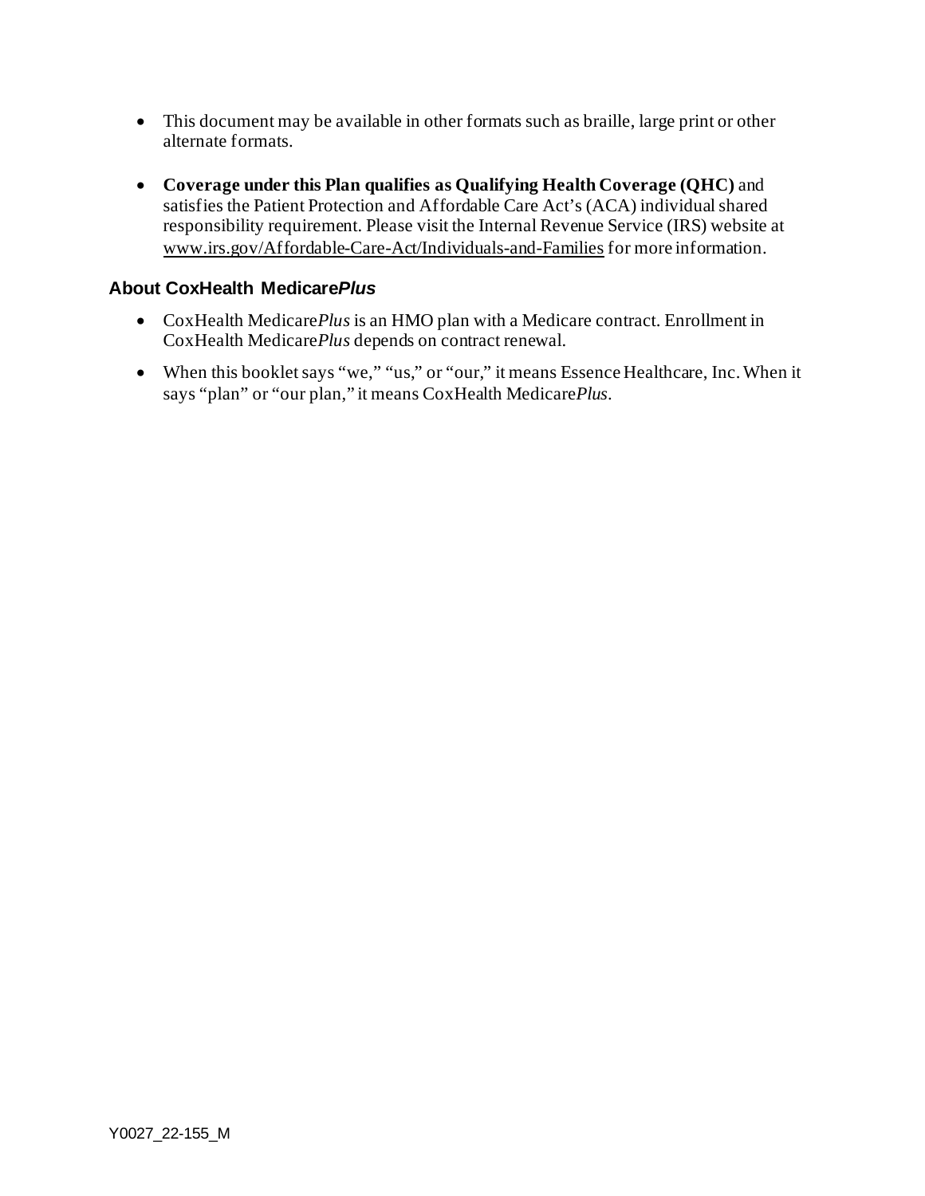- This document may be available in other formats such as braille, large print or other alternate formats.
- **Coverage under this Plan qualifies as Qualifying Health Coverage (QHC)** and satisfies the Patient Protection and Affordable Care Act's (ACA) individual shared responsibility requirement. Please visit the Internal Revenue Service (IRS) website at [www.irs.gov/Affordable-Care-Act/Individuals-and-Families](http://www.irs.gov/Affordable-Care-Act/Individuals-and-Families) for more information.

#### **About CoxHealth Medicare***Plus*

- CoxHealth Medicare*Plus* is an HMO plan with a Medicare contract. Enrollment in CoxHealth Medicare*Plus* depends on contract renewal.
- When this booklet says "we," "us," or "our," it means Essence Healthcare, Inc.When it says "plan" or "our plan," it means CoxHealth Medicare*Plus*.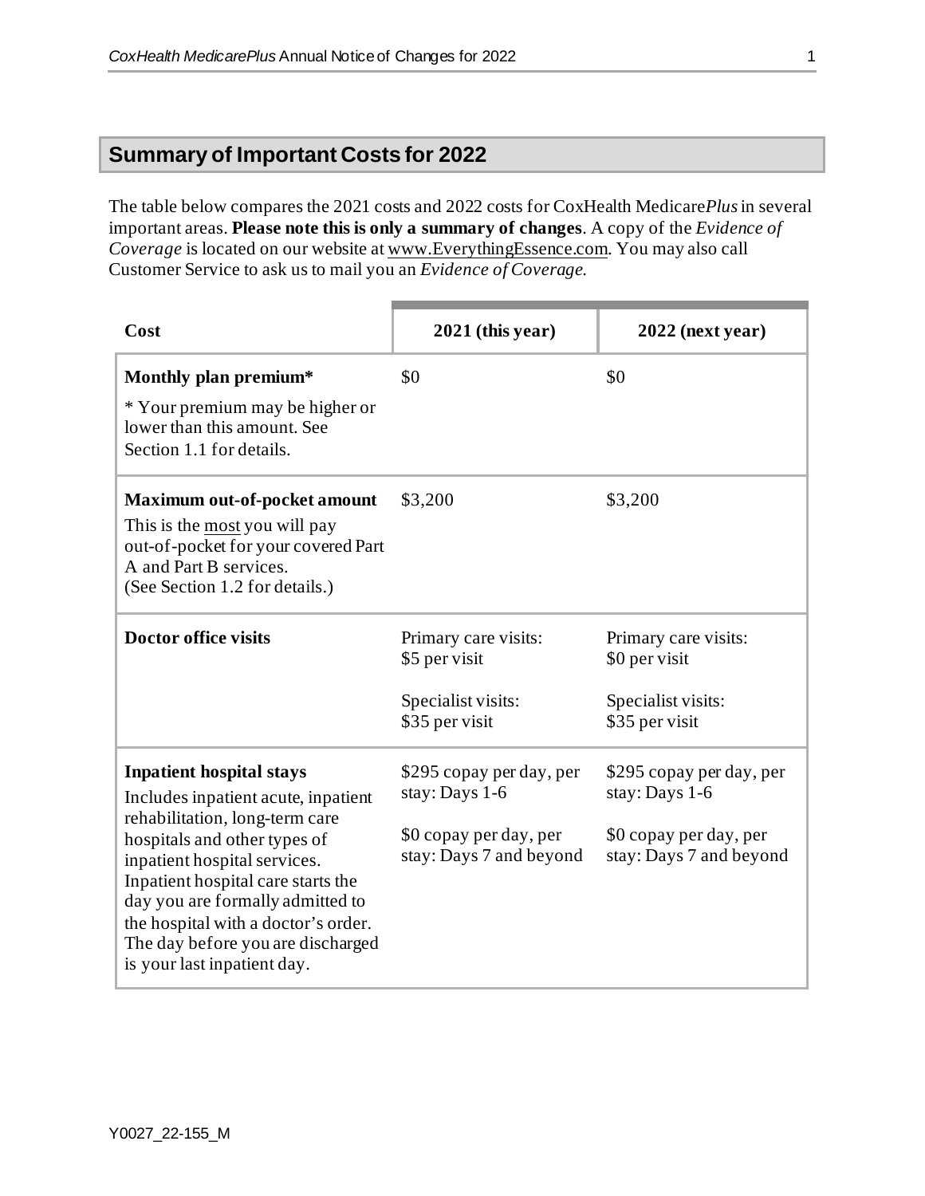# **Summary of Important Costs for 2022**

The table below compares the 2021 costs and 2022 costs for CoxHealth Medicare*Plus*in several important areas. **Please note this is only a summary of changes**. A copy of the *Evidence of Coverage* is located on our website at [www.EverythingEssence.com](http://www.everythingessence.com/). You may also call Customer Service to ask us to mail you an *Evidence of Coverage*.

| Cost                                                                                                                                                                                                                                                                                                                                                          | $2021$ (this year)                                                                              | $2022$ (next year)                                                                              |
|---------------------------------------------------------------------------------------------------------------------------------------------------------------------------------------------------------------------------------------------------------------------------------------------------------------------------------------------------------------|-------------------------------------------------------------------------------------------------|-------------------------------------------------------------------------------------------------|
| Monthly plan premium*<br>* Your premium may be higher or<br>lower than this amount. See<br>Section 1.1 for details.                                                                                                                                                                                                                                           | \$0                                                                                             | \$0                                                                                             |
| <b>Maximum out-of-pocket amount</b><br>This is the most you will pay<br>out-of-pocket for your covered Part<br>A and Part B services.<br>(See Section 1.2 for details.)                                                                                                                                                                                       | \$3,200                                                                                         | \$3,200                                                                                         |
| <b>Doctor office visits</b>                                                                                                                                                                                                                                                                                                                                   | Primary care visits:<br>\$5 per visit<br>Specialist visits:<br>\$35 per visit                   | Primary care visits:<br>\$0 per visit<br>Specialist visits:<br>\$35 per visit                   |
| <b>Inpatient hospital stays</b><br>Includes inpatient acute, inpatient<br>rehabilitation, long-term care<br>hospitals and other types of<br>inpatient hospital services.<br>Inpatient hospital care starts the<br>day you are formally admitted to<br>the hospital with a doctor's order.<br>The day before you are discharged<br>is your last inpatient day. | \$295 copay per day, per<br>stay: Days 1-6<br>\$0 copay per day, per<br>stay: Days 7 and beyond | \$295 copay per day, per<br>stay: Days 1-6<br>\$0 copay per day, per<br>stay: Days 7 and beyond |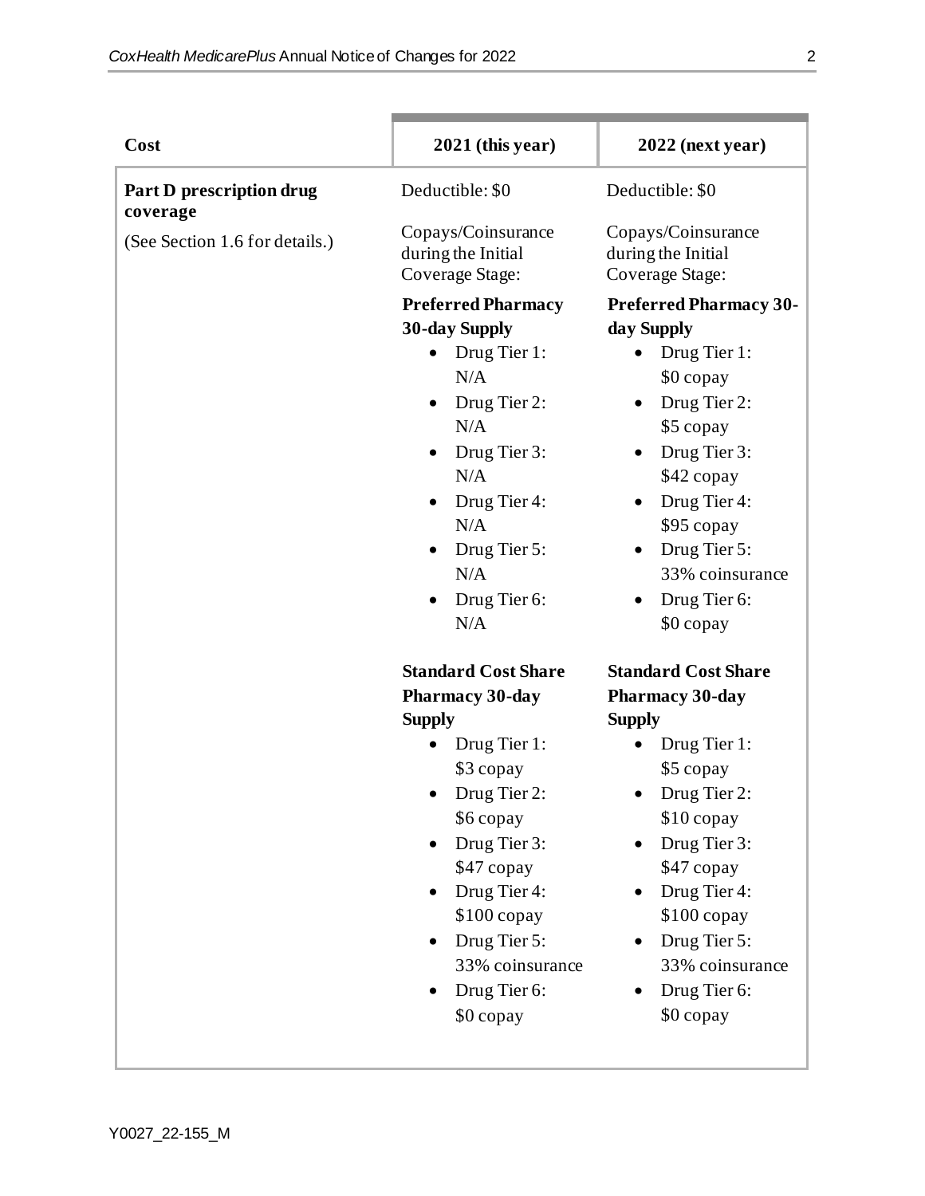| Cost                                 | $2021$ (this year)                                                                                                                                                                                                                              | $2022$ (next year)                                                                                                                                                                                                                |
|--------------------------------------|-------------------------------------------------------------------------------------------------------------------------------------------------------------------------------------------------------------------------------------------------|-----------------------------------------------------------------------------------------------------------------------------------------------------------------------------------------------------------------------------------|
| Part D prescription drug<br>coverage | Deductible: \$0                                                                                                                                                                                                                                 | Deductible: \$0                                                                                                                                                                                                                   |
| (See Section 1.6 for details.)       | Copays/Coinsurance<br>during the Initial<br>Coverage Stage:                                                                                                                                                                                     | Copays/Coinsurance<br>during the Initial<br>Coverage Stage:                                                                                                                                                                       |
|                                      | <b>Preferred Pharmacy</b><br><b>30-day Supply</b><br>Drug Tier 1:<br>$\bullet$<br>N/A<br>Drug Tier 2:<br>$\bullet$<br>N/A<br>Drug Tier 3:<br>N/A<br>Drug Tier 4:<br>$\bullet$<br>N/A<br>Drug Tier 5:<br>N/A<br>Drug Tier 6:<br>$\bullet$<br>N/A | <b>Preferred Pharmacy 30-</b><br>day Supply<br>Drug Tier 1:<br>\$0 copay<br>Drug Tier 2:<br>\$5 copay<br>Drug Tier 3:<br>\$42 copay<br>Drug Tier 4:<br>\$95 copay<br>Drug Tier 5:<br>33% coinsurance<br>Drug Tier 6:<br>\$0 copay |
|                                      | <b>Standard Cost Share</b><br><b>Pharmacy 30-day</b>                                                                                                                                                                                            | <b>Standard Cost Share</b><br><b>Pharmacy 30-day</b>                                                                                                                                                                              |
|                                      | <b>Supply</b><br>Drug Tier 1:<br>\$3 copay<br>Drug Tier 2:<br>\$6 copay<br>Drug Tier 3:<br>\$47 copay<br>Drug Tier 4:<br>$$100$ copay<br>Drug Tier 5:<br>33% coinsurance<br>Drug Tier 6:<br>\$0 copay                                           | <b>Supply</b><br>Drug Tier 1:<br>\$5 copay<br>Drug Tier 2:<br>\$10 copay<br>Drug Tier 3:<br>\$47 copay<br>Drug Tier 4:<br>$$100$ copay<br>Drug Tier 5:<br>33% coinsurance<br>Drug Tier 6:<br>\$0 copay                            |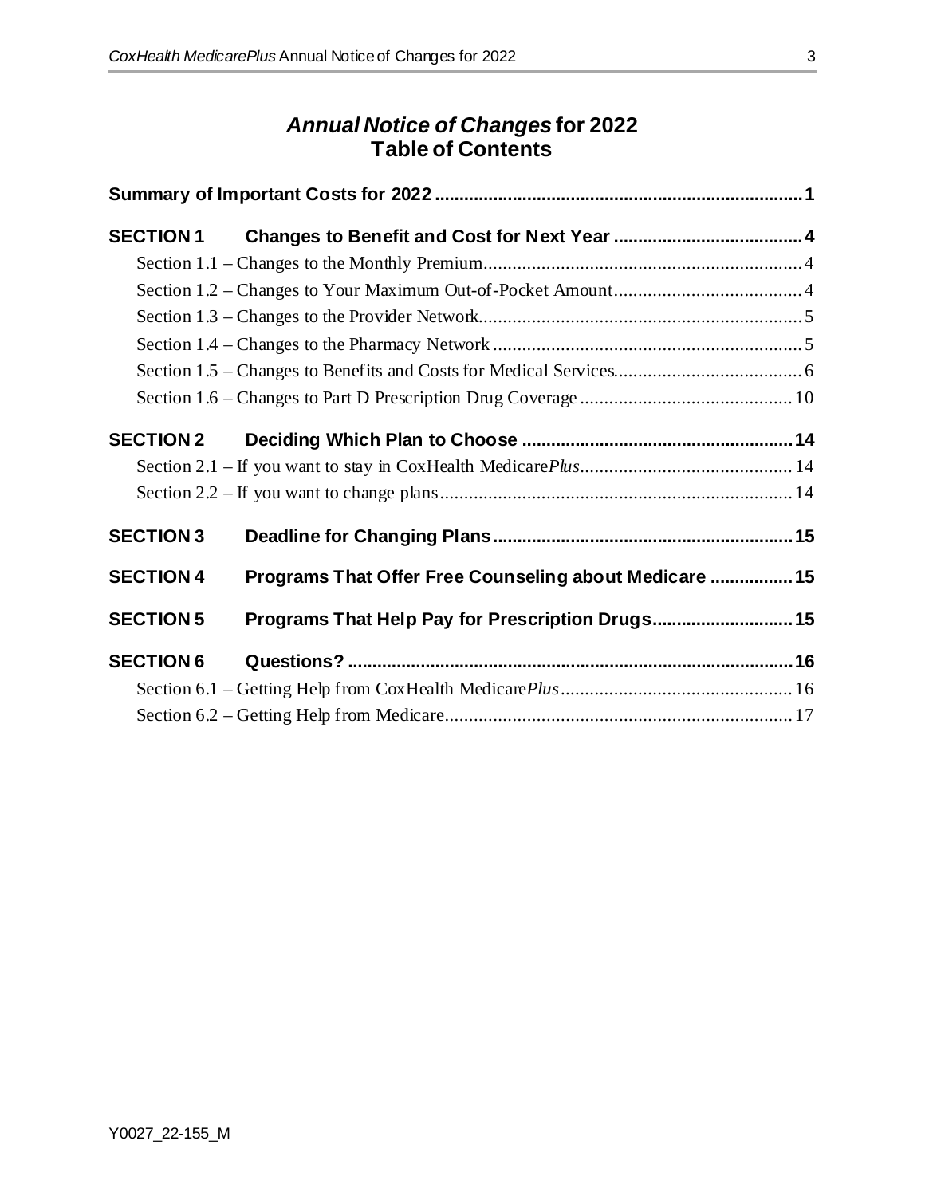# *Annual Notice of Changes* **for 2022 Table of Contents**

| <b>SECTION 1</b> |                                                        |  |
|------------------|--------------------------------------------------------|--|
|                  |                                                        |  |
|                  |                                                        |  |
|                  |                                                        |  |
|                  |                                                        |  |
|                  |                                                        |  |
|                  |                                                        |  |
| <b>SECTION 2</b> |                                                        |  |
|                  |                                                        |  |
|                  |                                                        |  |
| <b>SECTION 3</b> |                                                        |  |
| <b>SECTION 4</b> | Programs That Offer Free Counseling about Medicare  15 |  |
| <b>SECTION 5</b> | Programs That Help Pay for Prescription Drugs 15       |  |
| <b>SECTION 6</b> |                                                        |  |
|                  |                                                        |  |
|                  |                                                        |  |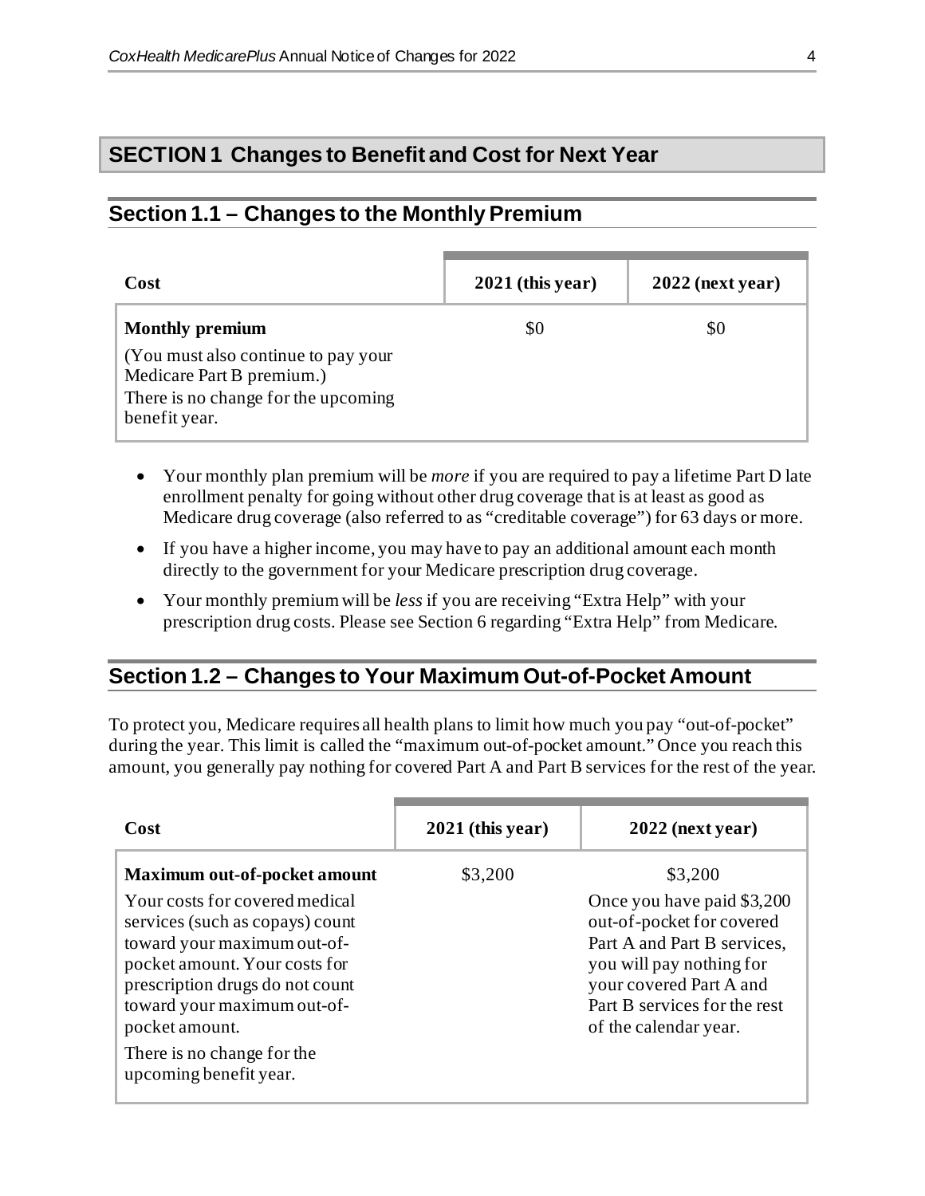# **SECTION 1 Changes to Benefit and Cost for Next Year**

# **Section 1.1 – Changes to the Monthly Premium**

| Cost                                                                                                                     | $2021$ (this year) | $2022$ (next year) |
|--------------------------------------------------------------------------------------------------------------------------|--------------------|--------------------|
| <b>Monthly premium</b>                                                                                                   | \$0                | \$0                |
| (You must also continue to pay your<br>Medicare Part B premium.)<br>There is no change for the upcoming<br>benefit year. |                    |                    |

- Your monthly plan premium will be *more* if you are required to pay a lifetime Part D late enrollment penalty for going without other drug coverage that is at least as good as Medicare drug coverage (also referred to as "creditable coverage") for 63 days or more.
- If you have a higher income, you may have to pay an additional amount each month directly to the government for your Medicare prescription drug coverage.
- Your monthly premium will be *less* if you are receiving "Extra Help" with your prescription drug costs. Please see Section 6 regarding "Extra Help" from Medicare.

# **Section 1.2 – Changes to Your Maximum Out-of-Pocket Amount**

To protect you, Medicare requires all health plans to limit how much you pay "out-of-pocket" during the year. This limit is called the "maximum out-of-pocket amount." Once you reach this amount, you generally pay nothing for covered Part A and Part B services for the rest of the year.

| Cost                                                                                                                                                                                                                                                                                                                 | $2021$ (this year) | $2022$ (next year)                                                                                                                                                                                                |
|----------------------------------------------------------------------------------------------------------------------------------------------------------------------------------------------------------------------------------------------------------------------------------------------------------------------|--------------------|-------------------------------------------------------------------------------------------------------------------------------------------------------------------------------------------------------------------|
| <b>Maximum out-of-pocket amount</b><br>Your costs for covered medical<br>services (such as copays) count<br>toward your maximum out-of-<br>pocket amount. Your costs for<br>prescription drugs do not count<br>toward your maximum out-of-<br>pocket amount.<br>There is no change for the<br>upcoming benefit year. | \$3,200            | \$3,200<br>Once you have paid \$3,200<br>out-of-pocket for covered<br>Part A and Part B services,<br>you will pay nothing for<br>your covered Part A and<br>Part B services for the rest<br>of the calendar year. |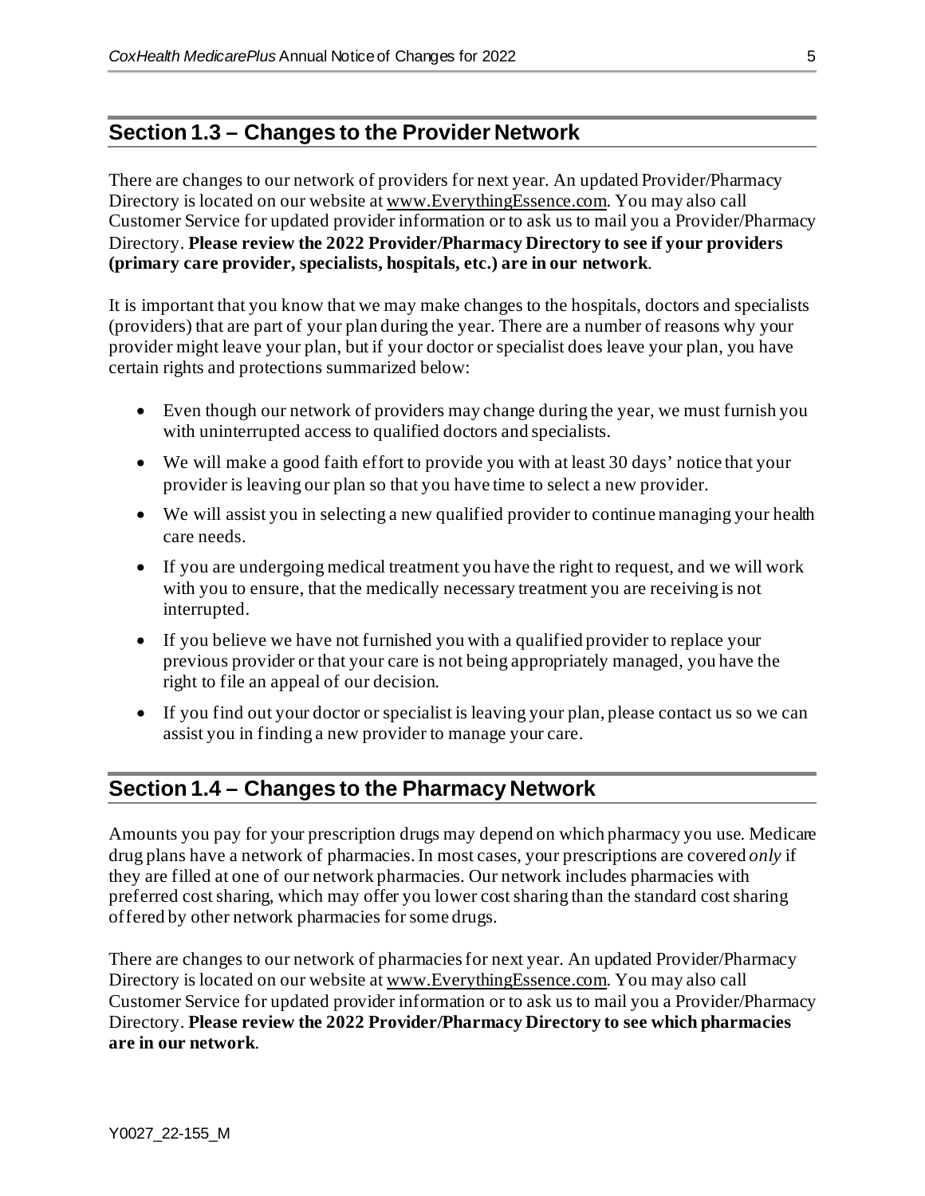#### **Section 1.3 – Changes to the Provider Network**

There are changes to our network of providers for next year. An updated Provider/Pharmacy Directory is located on our website a[t www.EverythingEssence.com.](http://www.everythingessence.com/) You may also call Customer Service for updated provider information or to ask us to mail you a Provider/Pharmacy Directory. **Please review the 2022 Provider/Pharmacy Directory to see if your providers (primary care provider, specialists, hospitals, etc.) are in our network**.

It is important that you know that we may make changes to the hospitals, doctors and specialists (providers) that are part of your plan during the year. There are a number of reasons why your provider might leave your plan, but if your doctor or specialist does leave your plan, you have certain rights and protections summarized below:

- Even though our network of providers may change during the year, we must furnish you with uninterrupted access to qualified doctors and specialists.
- We will make a good faith effort to provide you with at least 30 days' notice that your provider is leaving our plan so that you have time to select a new provider.
- We will assist you in selecting a new qualified provider to continue managing your health care needs.
- If you are undergoing medical treatment you have the right to request, and we will work with you to ensure, that the medically necessary treatment you are receiving is not interrupted.
- If you believe we have not furnished you with a qualified provider to replace your previous provider or that your care is not being appropriately managed, you have the right to file an appeal of our decision.
- If you find out your doctor or specialist is leaving your plan, please contact us so we can assist you in finding a new provider to manage your care.

# **Section 1.4 – Changes to the Pharmacy Network**

Amounts you pay for your prescription drugs may depend on which pharmacy you use. Medicare drug plans have a network of pharmacies. In most cases, your prescriptions are covered *only* if they are filled at one of our network pharmacies. Our network includes pharmacies with preferred costsharing, which may offer you lower costsharing than the standard costsharing offered by other network pharmacies for some drugs.

There are changes to our network of pharmacies for next year. An updated Provider/Pharmacy Directory is located on our website a[t www.EverythingEssence.com.](http://www.everythingessence.com/) You may also call Customer Service for updated provider information or to ask us to mail you a Provider/Pharmacy Directory. **Please review the 2022 Provider/Pharmacy Directory to see which pharmacies are in our network**.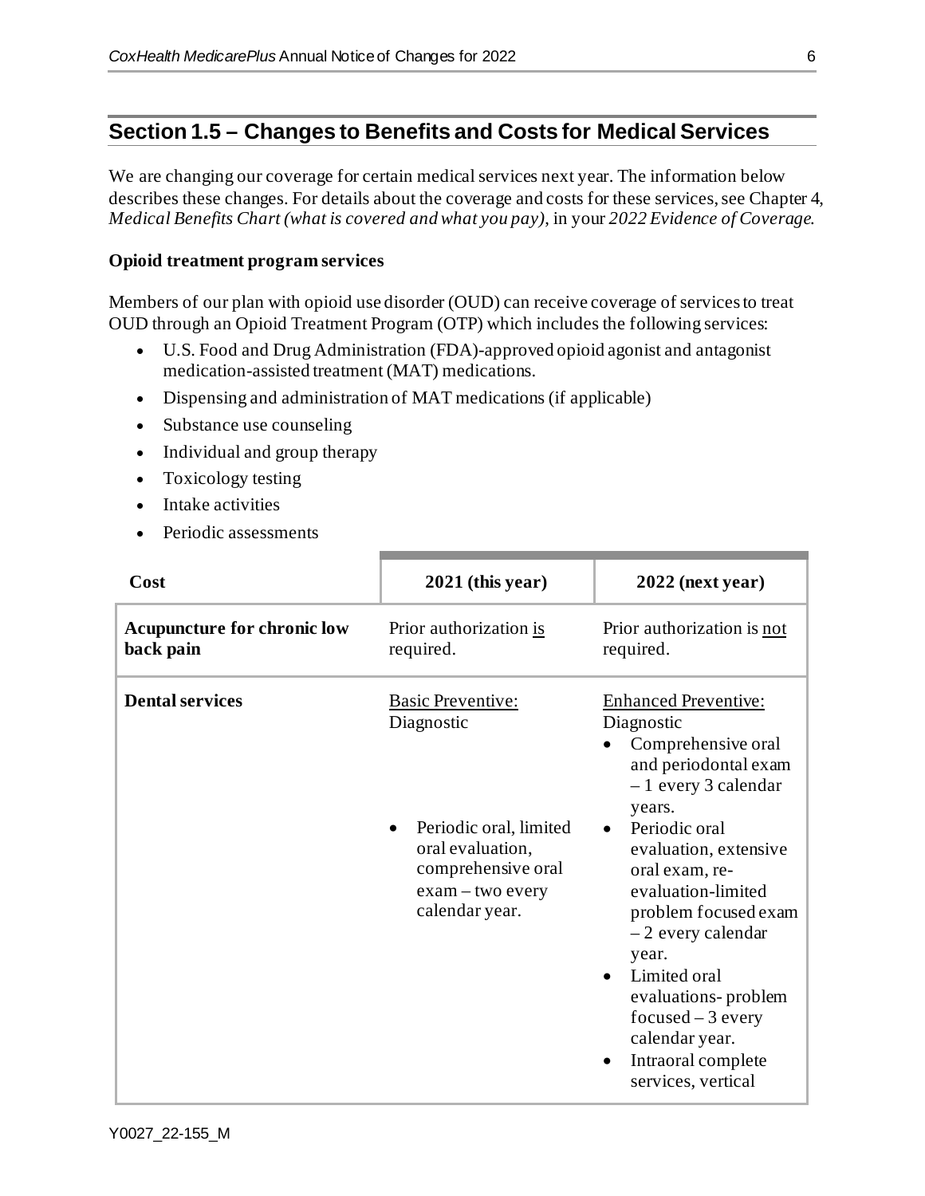# **Section 1.5 – Changes to Benefits and Costs for Medical Services**

We are changing our coverage for certain medical services next year. The information below describes these changes. For details about the coverage and costs for these services, see Chapter 4, *Medical Benefits Chart (what is covered and what you pay)*, in your *2022 Evidence of Coverage.*

#### **Opioid treatment program services**

Members of our plan with opioid use disorder (OUD) can receive coverage of services to treat OUD through an Opioid Treatment Program (OTP) which includes the following services:

- U.S. Food and Drug Administration (FDA)-approved opioid agonist and antagonist medication-assisted treatment (MAT) medications.
- Dispensing and administration of MAT medications (if applicable)
- Substance use counseling
- Individual and group therapy
- Toxicology testing
- Intake activities
- Periodic assessments

| Cost                                            | $2021$ (this year)                                                                                                                                 | $2022$ (next year)                                                                                                                                                                                                                                                                                                                                                                               |
|-------------------------------------------------|----------------------------------------------------------------------------------------------------------------------------------------------------|--------------------------------------------------------------------------------------------------------------------------------------------------------------------------------------------------------------------------------------------------------------------------------------------------------------------------------------------------------------------------------------------------|
| <b>Acupuncture for chronic low</b><br>back pain | Prior authorization is<br>required.                                                                                                                | Prior authorization is not<br>required.                                                                                                                                                                                                                                                                                                                                                          |
| <b>Dental services</b>                          | <b>Basic Preventive:</b><br>Diagnostic<br>Periodic oral, limited<br>oral evaluation,<br>comprehensive oral<br>$exam$ – two every<br>calendar year. | <b>Enhanced Preventive:</b><br>Diagnostic<br>Comprehensive oral<br>and periodontal exam<br>$-1$ every 3 calendar<br>years.<br>Periodic oral<br>evaluation, extensive<br>oral exam, re-<br>evaluation-limited<br>problem focused exam<br>$-2$ every calendar<br>year.<br>Limited oral<br>evaluations-problem<br>$focused - 3$ every<br>calendar year.<br>Intraoral complete<br>services, vertical |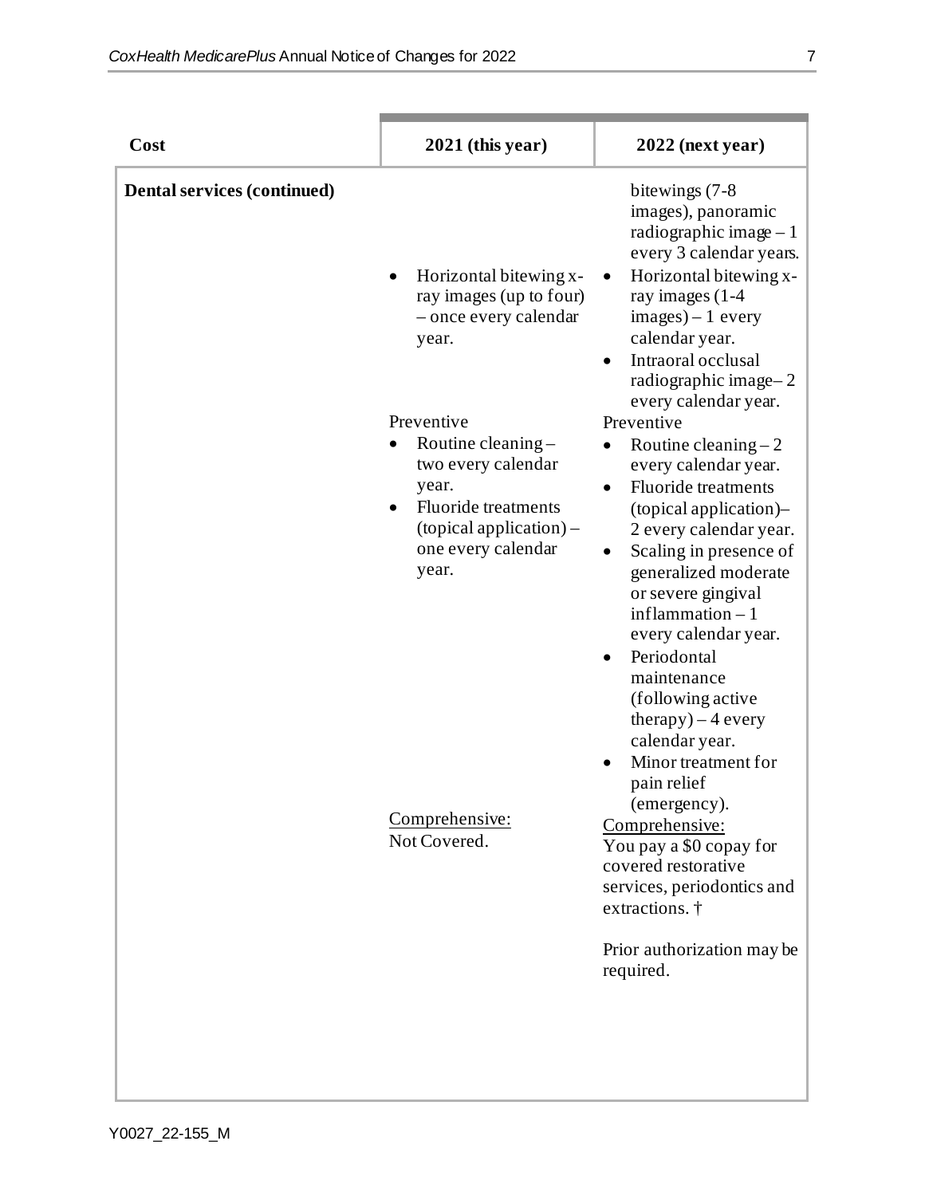| Cost                               | $2021$ (this year)                                                                                                                                                                                                                                                | $2022$ (next year)                                                                                                                                                                                                                                                                                                                                                                                                                                                                                                                                                                                                                                                                                                |
|------------------------------------|-------------------------------------------------------------------------------------------------------------------------------------------------------------------------------------------------------------------------------------------------------------------|-------------------------------------------------------------------------------------------------------------------------------------------------------------------------------------------------------------------------------------------------------------------------------------------------------------------------------------------------------------------------------------------------------------------------------------------------------------------------------------------------------------------------------------------------------------------------------------------------------------------------------------------------------------------------------------------------------------------|
| <b>Dental services (continued)</b> | Horizontal bitewing x-<br>ray images (up to four)<br>- once every calendar<br>year.<br>Preventive<br>Routine cleaning-<br>two every calendar<br>year.<br><b>Fluoride</b> treatments<br>$(topical application)$ –<br>one every calendar<br>year.<br>Comprehensive: | bitewings (7-8)<br>images), panoramic<br>radiographic image $-1$<br>every 3 calendar years.<br>Horizontal bitewing x-<br>ray images (1-4<br>$images - 1 every$<br>calendar year.<br>Intraoral occlusal<br>$\bullet$<br>radiographic image-2<br>every calendar year.<br>Preventive<br>Routine cleaning $-2$<br>every calendar year.<br><b>Fluoride</b> treatments<br>$\bullet$<br>(topical application)-<br>2 every calendar year.<br>Scaling in presence of<br>$\bullet$<br>generalized moderate<br>or severe gingival<br>inflammation $-1$<br>every calendar year.<br>Periodontal<br>maintenance<br>(following active<br>$(8) - 4$ every<br>calendar year.<br>Minor treatment for<br>pain relief<br>(emergency). |
|                                    | Not Covered.                                                                                                                                                                                                                                                      | Comprehensive:<br>You pay a \$0 copay for<br>covered restorative<br>services, periodontics and<br>extractions. †<br>Prior authorization may be<br>required.                                                                                                                                                                                                                                                                                                                                                                                                                                                                                                                                                       |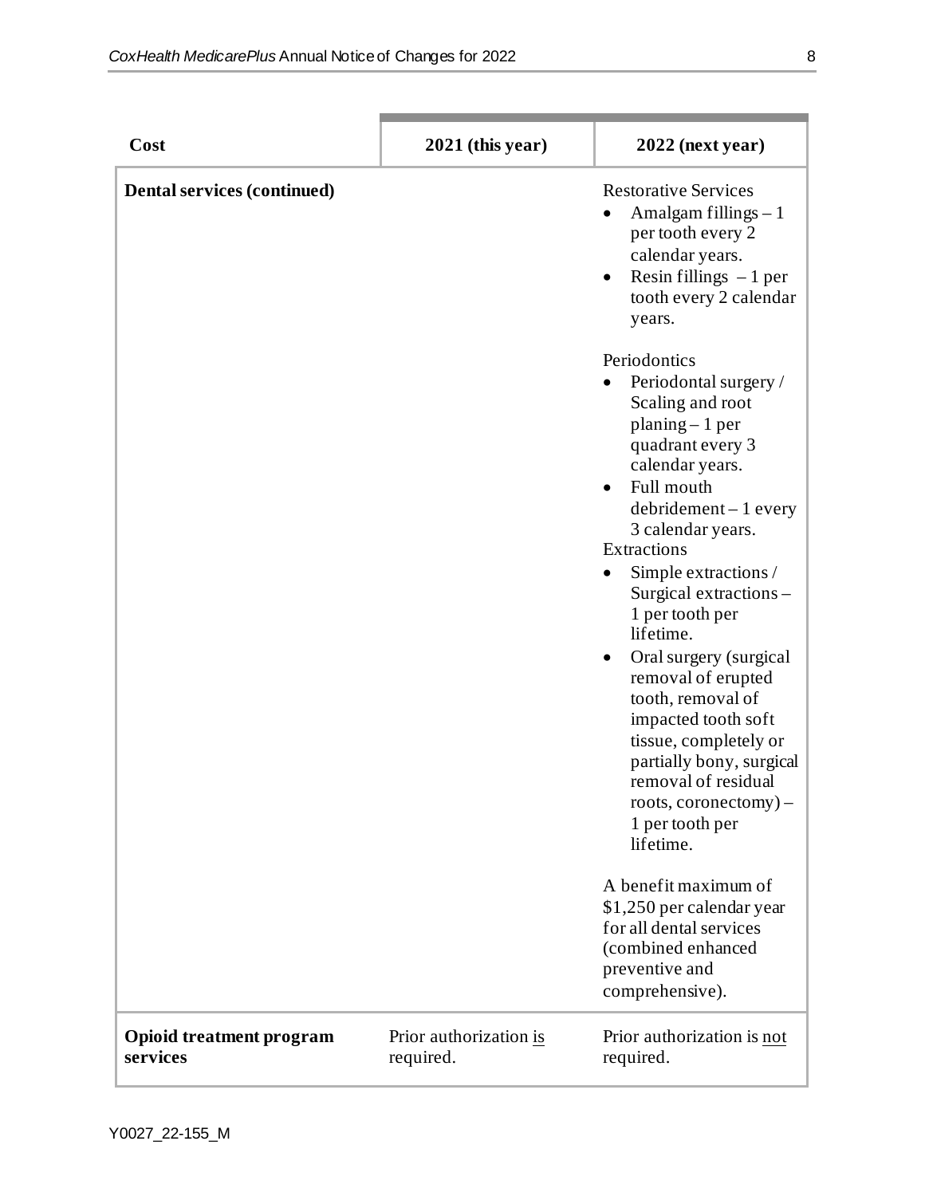| Cost                                        | $2021$ (this year)                  | $2022$ (next year)                                                                                                                                                                                                                                                                                                                                                                                                                          |
|---------------------------------------------|-------------------------------------|---------------------------------------------------------------------------------------------------------------------------------------------------------------------------------------------------------------------------------------------------------------------------------------------------------------------------------------------------------------------------------------------------------------------------------------------|
| Dental services (continued)                 |                                     | <b>Restorative Services</b><br>Amalgam fillings $-1$<br>per tooth every 2<br>calendar years.<br>Resin fillings $-1$ per<br>$\bullet$<br>tooth every 2 calendar<br>years.<br>Periodontics<br>Periodontal surgery /<br>Scaling and root<br>$planing-1$ per<br>quadrant every 3<br>calendar years.<br>Full mouth<br>$\bullet$<br>$debridement - 1 every$<br>3 calendar years.<br>Extractions<br>Simple extractions /<br>Surgical extractions - |
|                                             |                                     | 1 per tooth per<br>lifetime.<br>Oral surgery (surgical<br>$\bullet$<br>removal of erupted<br>tooth, removal of<br>impacted tooth soft<br>tissue, completely or<br>partially bony, surgical<br>removal of residual<br>roots, coronectomy)-<br>1 per tooth per<br>lifetime.<br>A benefit maximum of<br>\$1,250 per calendar year<br>for all dental services<br>(combined enhanced                                                             |
|                                             |                                     | preventive and<br>comprehensive).                                                                                                                                                                                                                                                                                                                                                                                                           |
| <b>Opioid treatment program</b><br>services | Prior authorization is<br>required. | Prior authorization is not<br>required.                                                                                                                                                                                                                                                                                                                                                                                                     |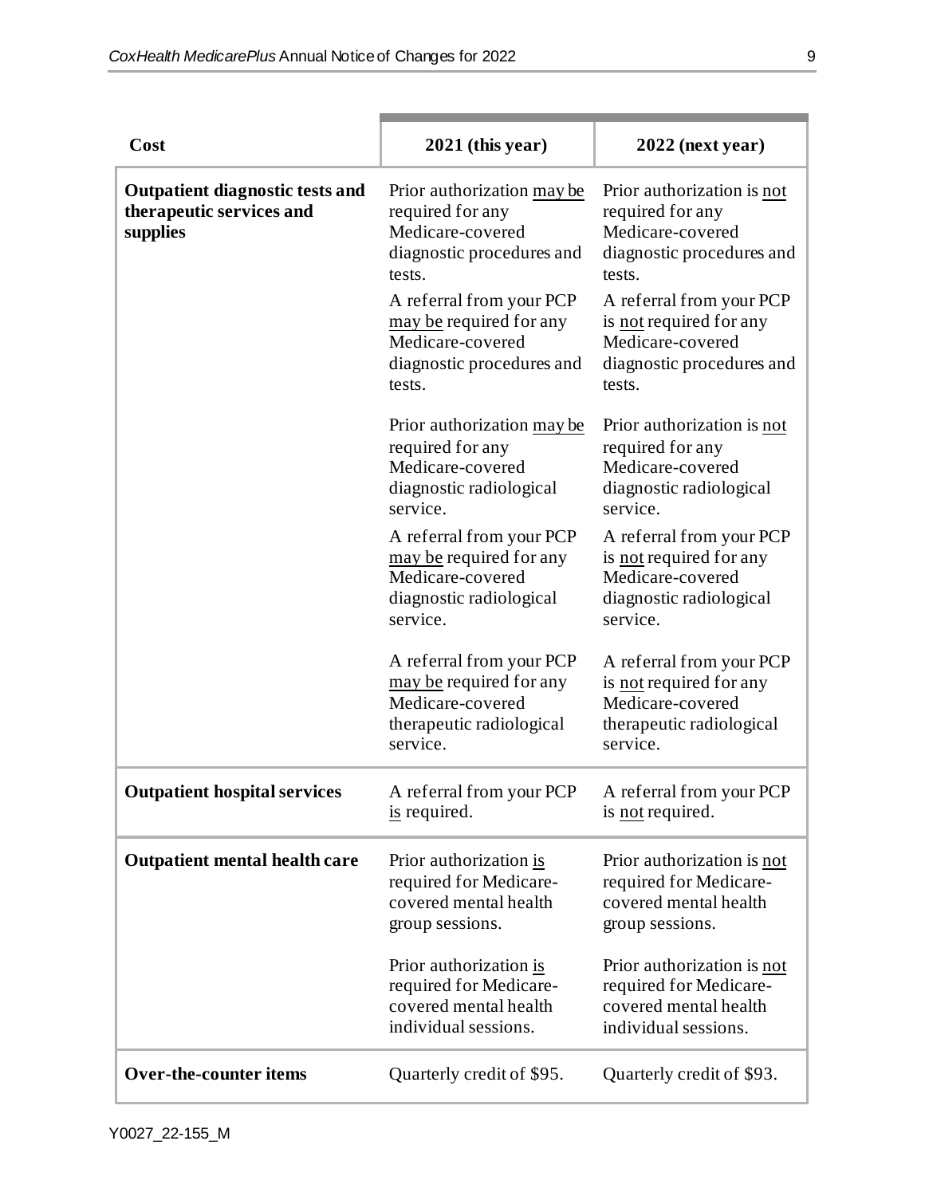m.

| Cost                                                                           | $2021$ (this year)                                                                                              | $2022$ (next year)                                                                                              |
|--------------------------------------------------------------------------------|-----------------------------------------------------------------------------------------------------------------|-----------------------------------------------------------------------------------------------------------------|
| <b>Outpatient diagnostic tests and</b><br>therapeutic services and<br>supplies | Prior authorization may be<br>required for any<br>Medicare-covered<br>diagnostic procedures and<br>tests.       | Prior authorization is not<br>required for any<br>Medicare-covered<br>diagnostic procedures and<br>tests.       |
|                                                                                | A referral from your PCP<br>may be required for any<br>Medicare-covered<br>diagnostic procedures and<br>tests.  | A referral from your PCP<br>is not required for any<br>Medicare-covered<br>diagnostic procedures and<br>tests.  |
|                                                                                | Prior authorization may be<br>required for any<br>Medicare-covered<br>diagnostic radiological<br>service.       | Prior authorization is not<br>required for any<br>Medicare-covered<br>diagnostic radiological<br>service.       |
|                                                                                | A referral from your PCP<br>may be required for any<br>Medicare-covered<br>diagnostic radiological<br>service.  | A referral from your PCP<br>is not required for any<br>Medicare-covered<br>diagnostic radiological<br>service.  |
|                                                                                | A referral from your PCP<br>may be required for any<br>Medicare-covered<br>therapeutic radiological<br>service. | A referral from your PCP<br>is not required for any<br>Medicare-covered<br>therapeutic radiological<br>service. |
| <b>Outpatient hospital services</b>                                            | A referral from your PCP<br>$\frac{1}{2}$ required.                                                             | A referral from your PCP<br>is <u>not</u> required.                                                             |
| <b>Outpatient mental health care</b>                                           | Prior authorization is<br>required for Medicare-<br>covered mental health<br>group sessions.                    | Prior authorization is not<br>required for Medicare-<br>covered mental health<br>group sessions.                |
|                                                                                | Prior authorization is<br>required for Medicare-<br>covered mental health<br>individual sessions.               | Prior authorization is not<br>required for Medicare-<br>covered mental health<br>individual sessions.           |
| <b>Over-the-counter items</b>                                                  | Quarterly credit of \$95.                                                                                       | Quarterly credit of \$93.                                                                                       |

٠

a sa mga bangay na mga bangay na mga bangay ng mga bangay ng mga bangay ng mga bangay ng mga bangay ng mga ban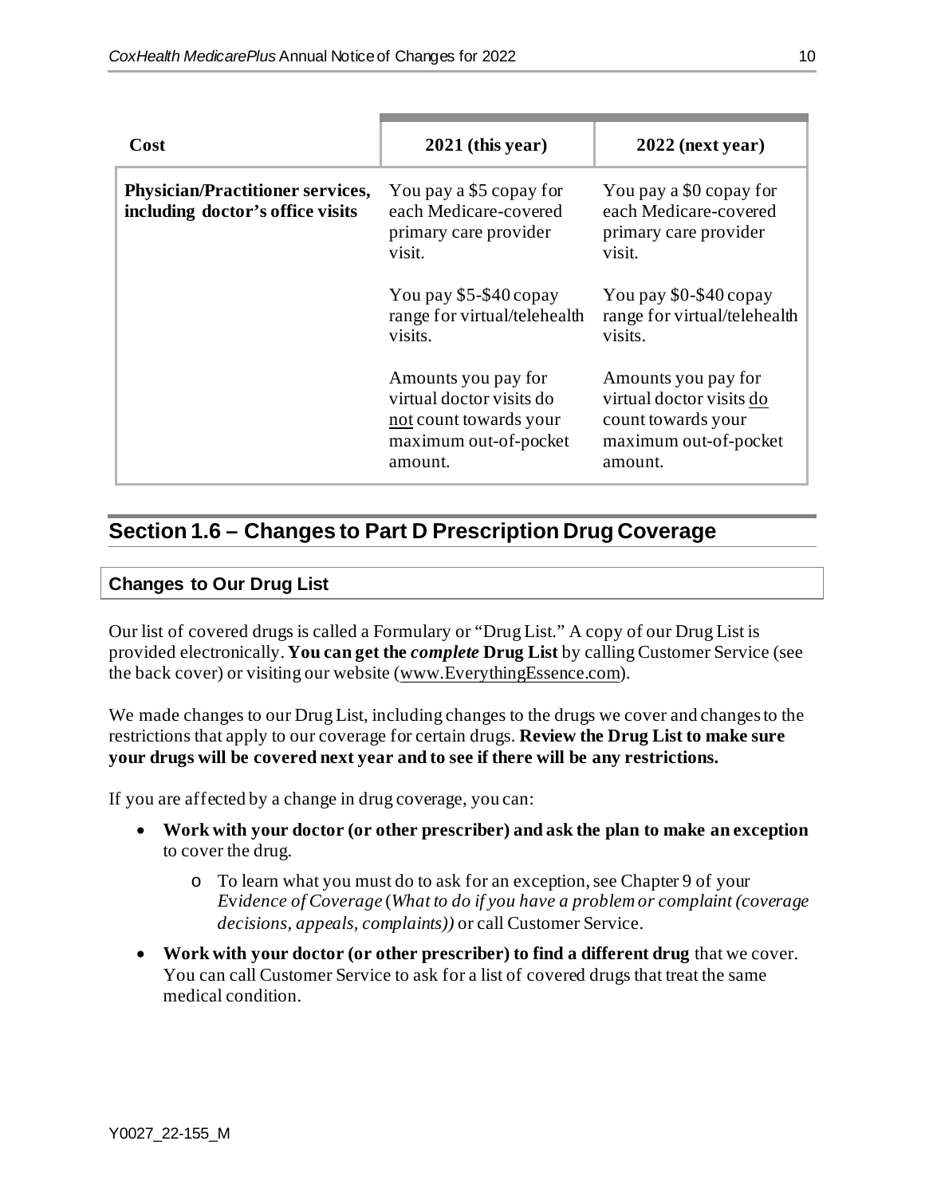| Cost                                                                        | $2021$ (this year)                                                                                            | $2022$ (next year)                                                                                        |
|-----------------------------------------------------------------------------|---------------------------------------------------------------------------------------------------------------|-----------------------------------------------------------------------------------------------------------|
| <b>Physician/Practitioner services,</b><br>including doctor's office visits | You pay a \$5 copay for<br>each Medicare-covered<br>primary care provider<br>visit.                           | You pay a \$0 copay for<br>each Medicare-covered<br>primary care provider<br>visit.                       |
|                                                                             | You pay \$5-\$40 copay<br>range for virtual/telehealth<br>visits.                                             | You pay \$0-\$40 copay<br>range for virtual/telehealth<br>visits.                                         |
|                                                                             | Amounts you pay for<br>virtual doctor visits do<br>not count towards your<br>maximum out-of-pocket<br>amount. | Amounts you pay for<br>virtual doctor visits do<br>count towards your<br>maximum out-of-pocket<br>amount. |

# **Section 1.6 – Changes to Part D Prescription Drug Coverage**

#### **Changes to Our Drug List**

Our list of covered drugs is called a Formulary or "Drug List." A copy of our Drug List is provided electronically. **You can get the** *complete* **Drug List** by calling Customer Service (see the back cover) or visiting our website [\(www.EverythingEssence.com](http://www.everythingessence.com/)).

We made changes to our Drug List, including changes to the drugs we cover and changes to the restrictions that apply to our coverage for certain drugs. **Review the Drug List to make sure your drugs will be covered next year and to see if there will be any restrictions.**

If you are affected by a change in drug coverage, you can:

- **Work with your doctor (or other prescriber) and ask the plan to make an exception** to cover the drug.
	- o To learn what you must do to ask for an exception, see Chapter 9 of your *E*v*idence of Coverage* (*What to do if you have a problem or complaint (coverage decisions, appeals, complaints))* or call Customer Service.
- **Work with your doctor (or other prescriber) to find a different drug** that we cover. You can call Customer Service to ask for a list of covered drugs that treat the same medical condition.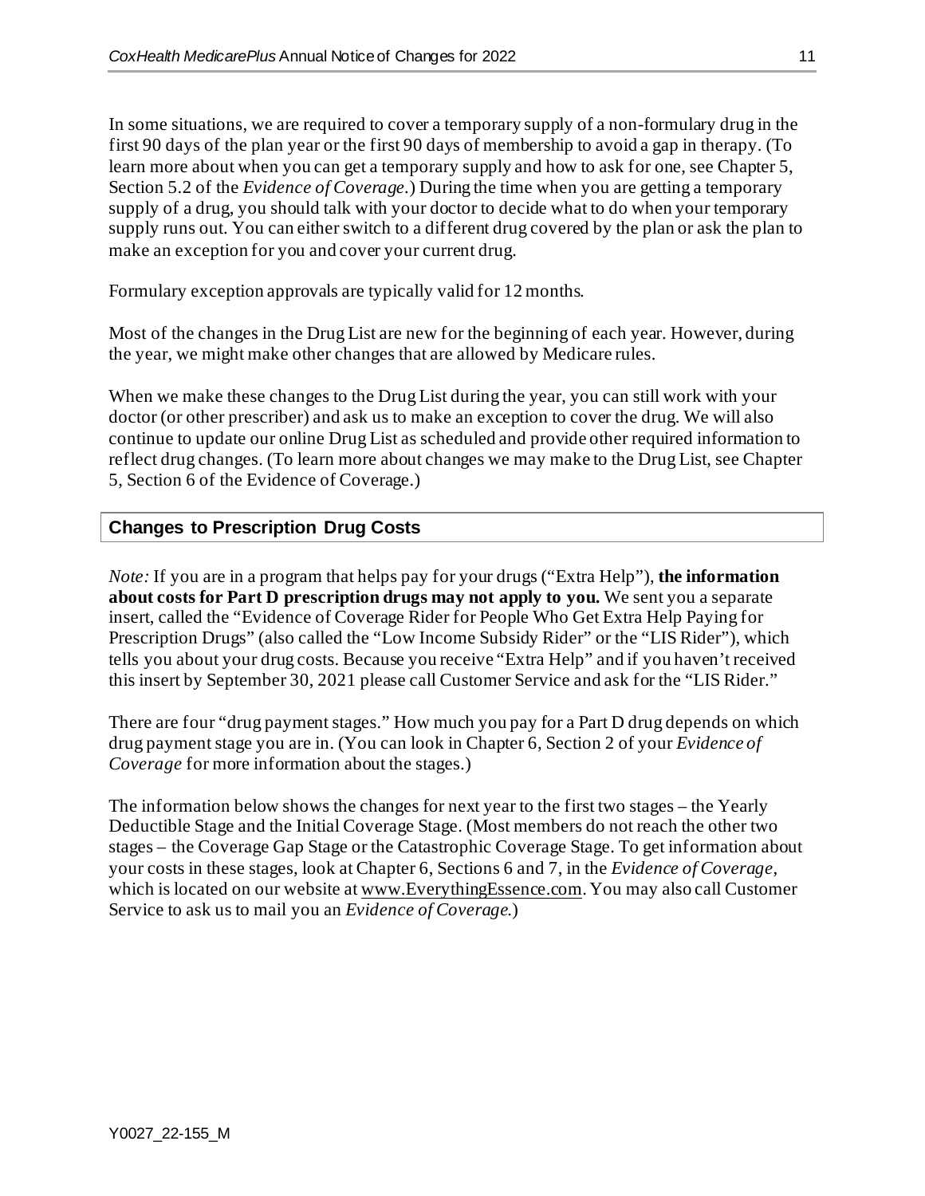In some situations, we are required to cover a temporary supply of a non-formulary drug in the first 90 days of the plan year or the first 90 days of membership to avoid a gap in therapy. (To learn more about when you can get a temporary supply and how to ask for one, see Chapter 5, Section 5.2 of the *Evidence of Coverage.*) During the time when you are getting a temporary supply of a drug, you should talk with your doctor to decide what to do when your temporary supply runs out. You can either switch to a different drug covered by the plan or ask the plan to make an exception for you and cover your current drug.

Formulary exception approvals are typically valid for 12 months.

Most of the changes in the Drug List are new for the beginning of each year. However, during the year, we might make other changes that are allowed by Medicare rules.

When we make these changes to the Drug List during the year, you can still work with your doctor (or other prescriber) and ask us to make an exception to cover the drug. We will also continue to update our online Drug List as scheduled and provide other required information to reflect drug changes. (To learn more about changes we may make to the Drug List, see Chapter 5, Section 6 of the Evidence of Coverage.)

#### **Changes to Prescription Drug Costs**

*Note:* If you are in a program that helps pay for your drugs ("Extra Help"), **the information about costs for Part D prescription drugs may not apply to you.** We sent you a separate insert, called the "Evidence of Coverage Rider for People Who Get Extra Help Paying for Prescription Drugs" (also called the "Low Income Subsidy Rider" or the "LIS Rider"), which tells you about your drug costs. Because you receive "Extra Help" and if you haven't received this insert by September 30, 2021 please call Customer Service and ask for the "LIS Rider."

There are four "drug payment stages." How much you pay for a Part D drug depends on which drug payment stage you are in. (You can look in Chapter 6, Section 2 of your *Evidence of Coverage* for more information about the stages.)

The information below shows the changes for next year to the first two stages – the Yearly Deductible Stage and the Initial Coverage Stage. (Most members do not reach the other two stages – the Coverage Gap Stage or the Catastrophic Coverage Stage. To get information about your costs in these stages, look at Chapter 6, Sections 6 and 7, in the *Evidence of Coverage*, which is located on our website a[t www.EverythingEssence.com](http://www.everythingessence.com/). You may also call Customer Service to ask us to mail you an *Evidence of Coverage*.)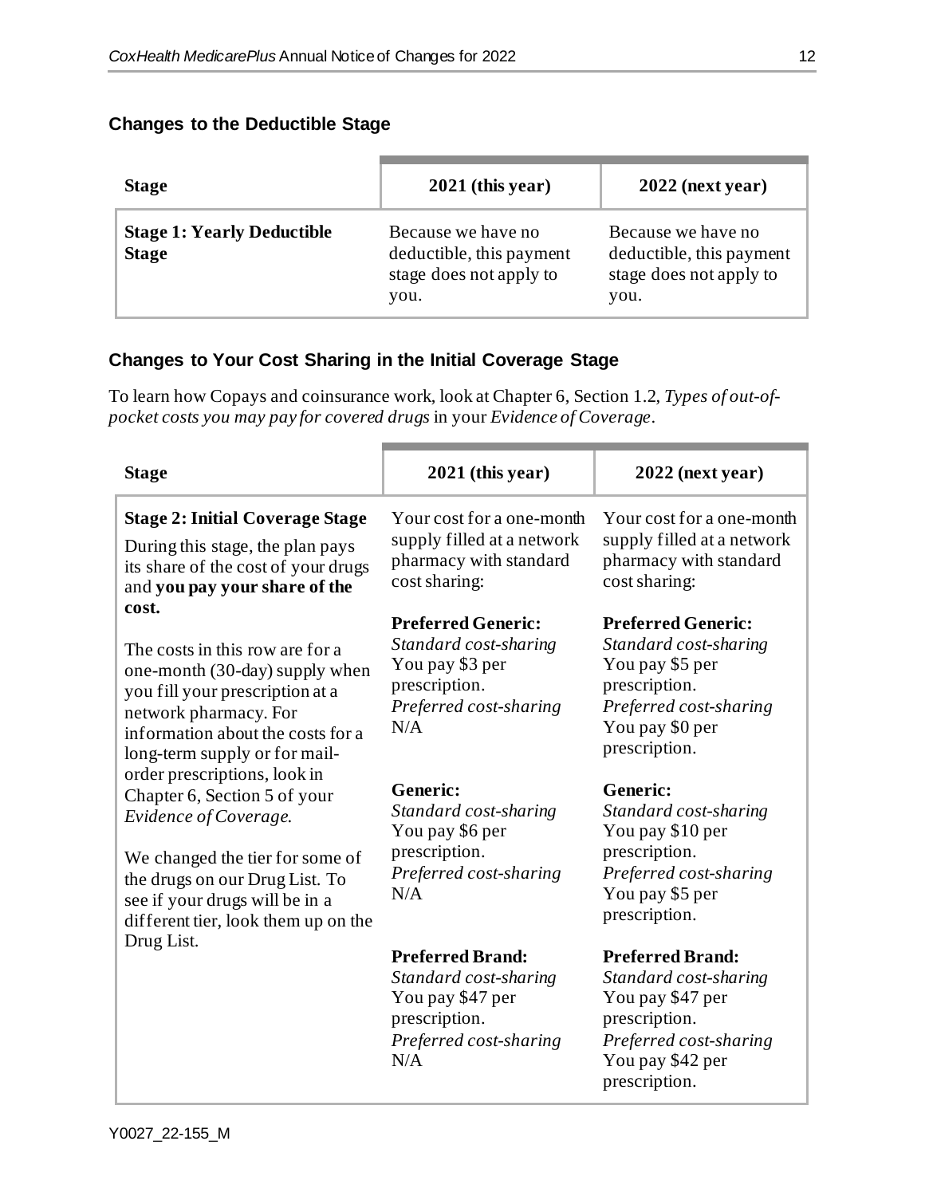#### **Changes to the Deductible Stage**

| <b>Stage</b>                                      | $2021$ (this year)                                                                | $2022$ (next year)                                                                |
|---------------------------------------------------|-----------------------------------------------------------------------------------|-----------------------------------------------------------------------------------|
| <b>Stage 1: Yearly Deductible</b><br><b>Stage</b> | Because we have no<br>deductible, this payment<br>stage does not apply to<br>you. | Because we have no<br>deductible, this payment<br>stage does not apply to<br>you. |

#### **Changes to Your Cost Sharing in the Initial Coverage Stage**

To learn how Copays and coinsurance work, look at Chapter 6, Section 1.2, *Types of out-ofpocket costs you may pay for covered drugs* in your *Evidence of Coverage*.

| <b>Stage</b>                                                                                                                                                                                                                        | $2021$ (this year)                                                                                                      | $2022$ (next year)                                                                                                                                   |
|-------------------------------------------------------------------------------------------------------------------------------------------------------------------------------------------------------------------------------------|-------------------------------------------------------------------------------------------------------------------------|------------------------------------------------------------------------------------------------------------------------------------------------------|
| <b>Stage 2: Initial Coverage Stage</b><br>During this stage, the plan pays<br>its share of the cost of your drugs<br>and you pay your share of the                                                                                  | Your cost for a one-month<br>supply filled at a network<br>pharmacy with standard<br>cost sharing:                      | Your cost for a one-month<br>supply filled at a network<br>pharmacy with standard<br>cost sharing:                                                   |
| cost.<br>The costs in this row are for a<br>one-month (30-day) supply when<br>you fill your prescription at a<br>network pharmacy. For<br>information about the costs for a<br>long-term supply or for mail-                        | <b>Preferred Generic:</b><br>Standard cost-sharing<br>You pay \$3 per<br>prescription.<br>Preferred cost-sharing<br>N/A | <b>Preferred Generic:</b><br>Standard cost-sharing<br>You pay \$5 per<br>prescription.<br>Preferred cost-sharing<br>You pay \$0 per<br>prescription. |
| order prescriptions, look in<br>Chapter 6, Section 5 of your<br>Evidence of Coverage.<br>We changed the tier for some of<br>the drugs on our Drug List. To<br>see if your drugs will be in a<br>different tier, look them up on the | <b>Generic:</b><br>Standard cost-sharing<br>You pay \$6 per<br>prescription.<br>Preferred cost-sharing<br>N/A           | <b>Generic:</b><br>Standard cost-sharing<br>You pay \$10 per<br>prescription.<br>Preferred cost-sharing<br>You pay \$5 per<br>prescription.          |
| Drug List.                                                                                                                                                                                                                          | <b>Preferred Brand:</b><br>Standard cost-sharing<br>You pay \$47 per<br>prescription.<br>Preferred cost-sharing<br>N/A  | <b>Preferred Brand:</b><br>Standard cost-sharing<br>You pay \$47 per<br>prescription.<br>Preferred cost-sharing<br>You pay \$42 per<br>prescription. |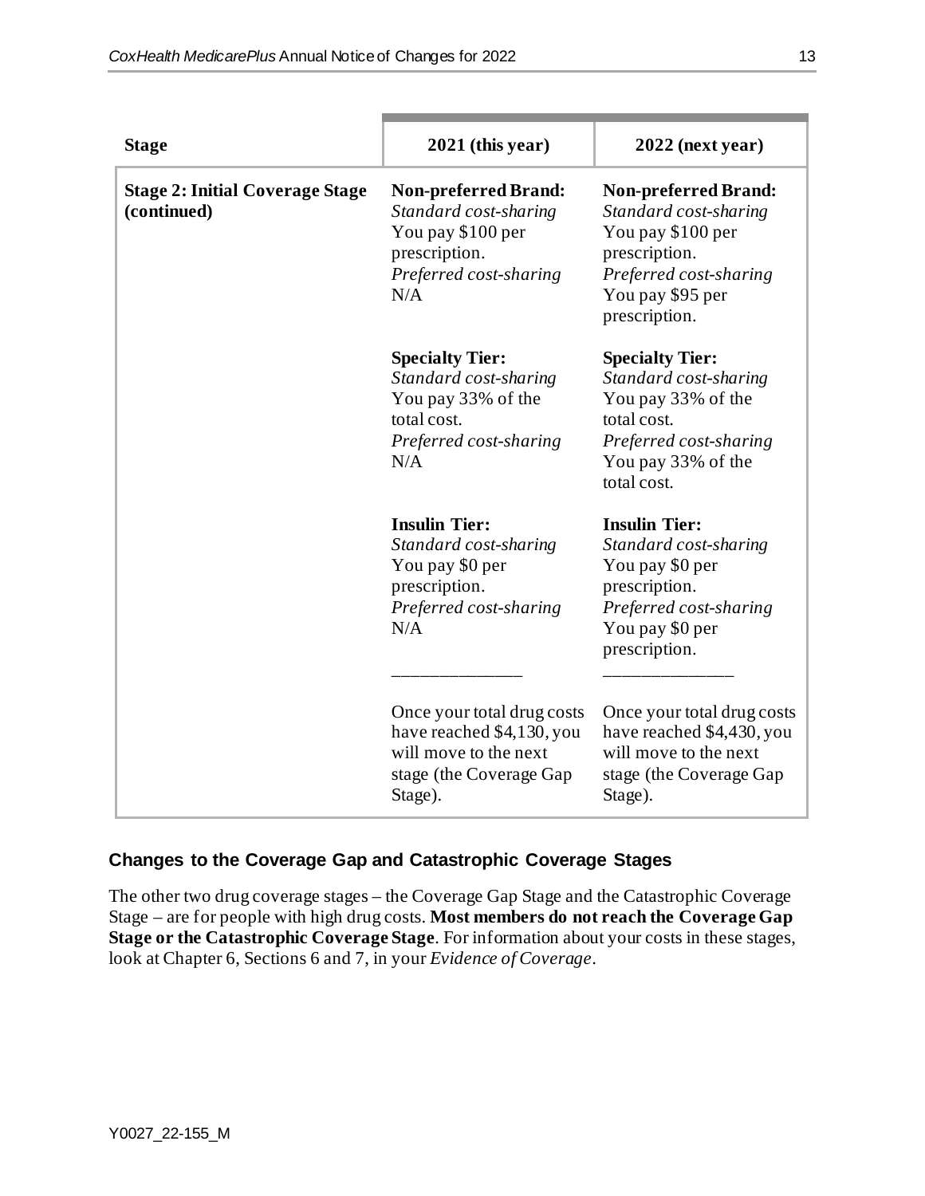| <b>Stage</b>                                          | 2021 (this year)                                                                                                            | $2022$ (next year)                                                                                                                                        |
|-------------------------------------------------------|-----------------------------------------------------------------------------------------------------------------------------|-----------------------------------------------------------------------------------------------------------------------------------------------------------|
| <b>Stage 2: Initial Coverage Stage</b><br>(continued) | <b>Non-preferred Brand:</b><br>Standard cost-sharing<br>You pay \$100 per<br>prescription.<br>Preferred cost-sharing<br>N/A | <b>Non-preferred Brand:</b><br>Standard cost-sharing<br>You pay \$100 per<br>prescription.<br>Preferred cost-sharing<br>You pay \$95 per<br>prescription. |
|                                                       | <b>Specialty Tier:</b><br>Standard cost-sharing<br>You pay 33% of the<br>total cost.<br>Preferred cost-sharing<br>N/A       | <b>Specialty Tier:</b><br>Standard cost-sharing<br>You pay 33% of the<br>total cost.<br>Preferred cost-sharing<br>You pay 33% of the<br>total cost.       |
|                                                       | <b>Insulin Tier:</b><br>Standard cost-sharing<br>You pay \$0 per<br>prescription.<br>Preferred cost-sharing<br>N/A          | <b>Insulin Tier:</b><br>Standard cost-sharing<br>You pay \$0 per<br>prescription.<br>Preferred cost-sharing<br>You pay \$0 per<br>prescription.           |
|                                                       | Once your total drug costs<br>have reached \$4,130, you<br>will move to the next<br>stage (the Coverage Gap<br>Stage).      | Once your total drug costs<br>have reached \$4,430, you<br>will move to the next<br>stage (the Coverage Gap<br>Stage).                                    |

#### **Changes to the Coverage Gap and Catastrophic Coverage Stages**

The other two drug coverage stages – the Coverage Gap Stage and the Catastrophic Coverage Stage – are for people with high drug costs. **Most members do not reach the Coverage Gap Stage or the Catastrophic Coverage Stage**. For information about your costs in these stages, look at Chapter 6, Sections 6 and 7, in your *Evidence of Coverage*.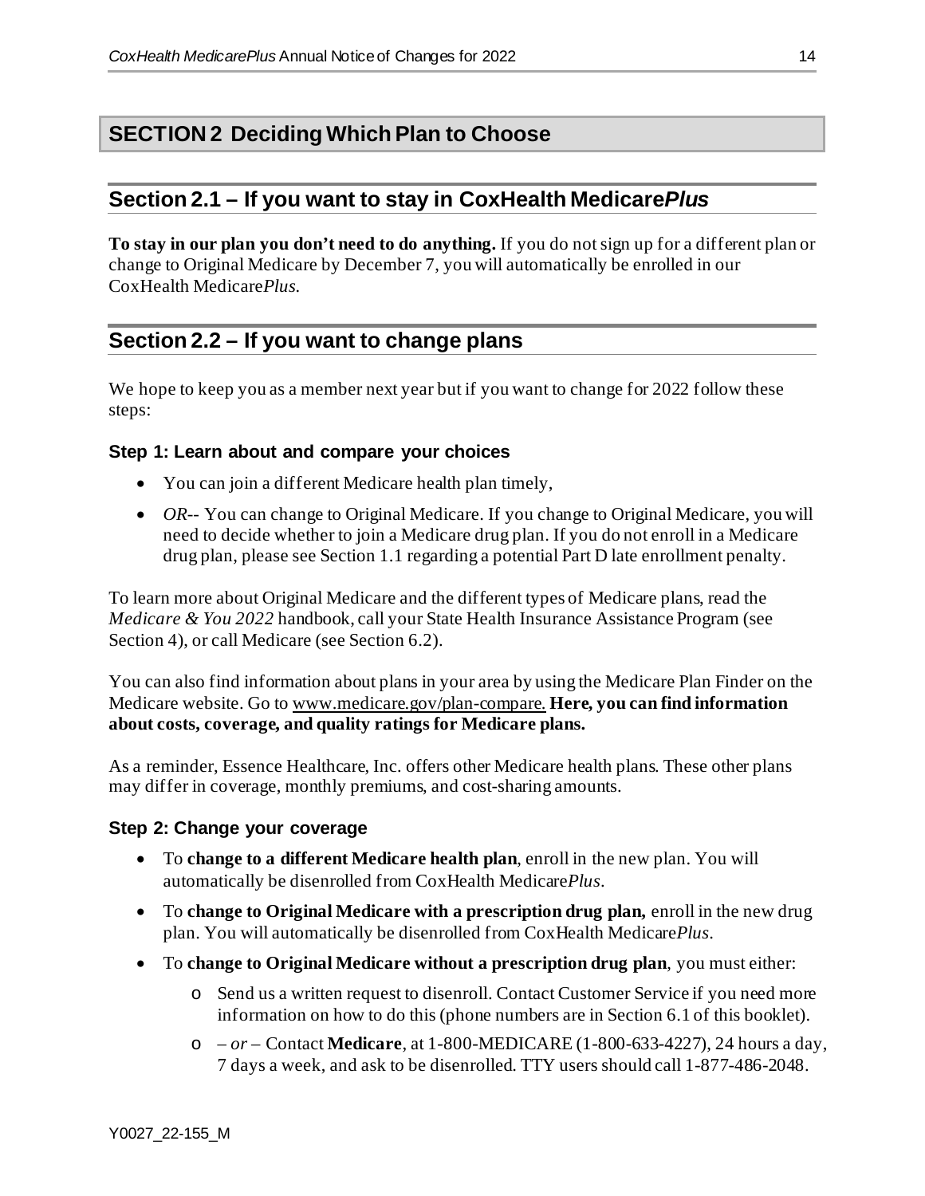# **SECTION 2 Deciding Which Plan to Choose**

#### **Section 2.1 – If you want to stay in CoxHealth Medicare***Plus*

**To stay in our plan you don't need to do anything.** If you do not sign up for a different plan or change to Original Medicare by December 7, you will automatically be enrolled in our CoxHealth Medicare*Plus.*

# **Section 2.2 – If you want to change plans**

We hope to keep you as a member next year but if you want to change for 2022 follow these steps:

#### **Step 1: Learn about and compare your choices**

- You can join a different Medicare health plan timely,
- *OR*-- You can change to Original Medicare. If you change to Original Medicare, you will need to decide whether to join a Medicare drug plan. If you do not enroll in a Medicare drug plan, please see Section 1.1 regarding a potential Part D late enrollment penalty.

To learn more about Original Medicare and the different types of Medicare plans, read the *Medicare & You 2022* handbook, call your State Health Insurance Assistance Program (see Section 4), or call Medicare (see Section 6.2).

You can also find information about plans in your area by using the Medicare Plan Finder on the Medicare website. Go to [www.medicare.gov/plan-compare](http://www.medicare.gov/plan-compare). **Here, you can find information about costs, coverage, and quality ratings for Medicare plans.**

As a reminder, Essence Healthcare, Inc*.* offers other Medicare health plans. These other plans may differ in coverage, monthly premiums, and cost-sharing amounts.

#### **Step 2: Change your coverage**

- To **change to a different Medicare health plan**, enroll in the new plan. You will automatically be disenrolled from CoxHealth Medicare*Plus*.
- To **change to Original Medicare with a prescription drug plan,** enroll in the new drug plan. You will automatically be disenrolled from CoxHealth Medicare*Plus*.
- To **change to Original Medicare without a prescription drug plan**, you must either:
	- o Send us a written request to disenroll. Contact Customer Service if you need more information on how to do this (phone numbers are in Section 6.1 of this booklet).
	- o *– or –* Contact **Medicare**, at 1-800-MEDICARE (1-800-633-4227), 24 hours a day, 7 days a week, and ask to be disenrolled. TTY users should call 1-877-486-2048.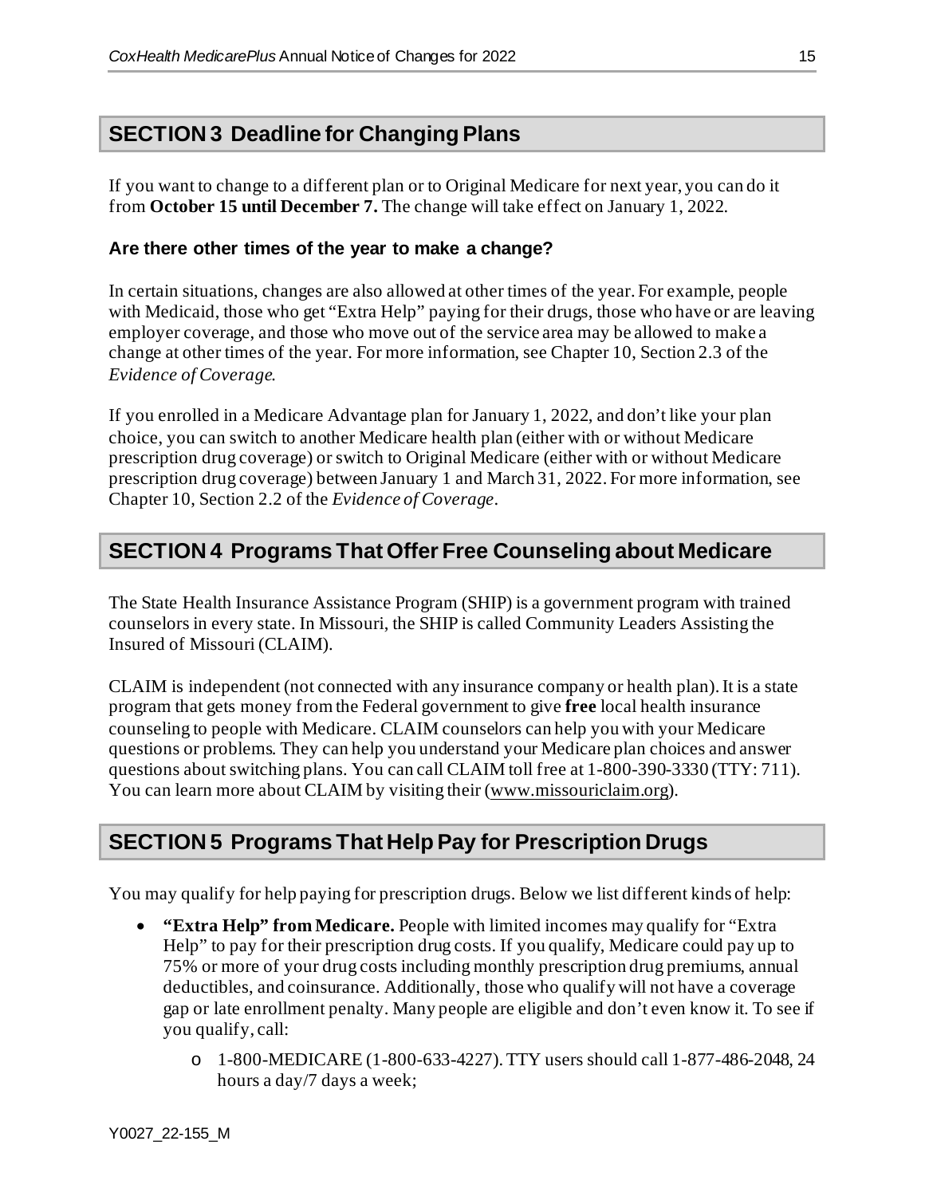### **SECTION 3 Deadline for Changing Plans**

If you want to change to a different plan or to Original Medicare for next year, you can do it from **October 15 until December 7.** The change will take effect on January 1, 2022.

#### **Are there other times of the year to make a change?**

In certain situations, changes are also allowed at other times of the year. For example, people with Medicaid, those who get "Extra Help" paying for their drugs, those who have or are leaving employer coverage, and those who move out of the service area may be allowed to make a change at other times of the year. For more information, see Chapter 10, Section 2.3 of the *Evidence of Coverage.*

If you enrolled in a Medicare Advantage plan for January 1, 2022, and don't like your plan choice, you can switch to another Medicare health plan (either with or without Medicare prescription drug coverage) or switch to Original Medicare (either with or without Medicare prescription drug coverage) between January 1 and March 31, 2022. For more information, see Chapter 10, Section 2.2 of the *Evidence of Coverage*.

# **SECTION 4 Programs That Offer Free Counseling about Medicare**

The State Health Insurance Assistance Program (SHIP) is a government program with trained counselors in every state. In Missouri, the SHIP is called Community Leaders Assisting the Insured of Missouri (CLAIM).

CLAIM is independent (not connected with any insurance company or health plan). It is a state program that gets money from the Federal government to give **free** local health insurance counseling to people with Medicare. CLAIM counselors can help you with your Medicare questions or problems. They can help you understand your Medicare plan choices and answer questions about switching plans. You can call CLAIM toll free at 1-800-390-3330 (TTY: 711). You can learn more about CLAIM by visiting their [\(www.missouriclaim.org\)](http://www.missouriclaim.org/).

# **SECTION 5 Programs That Help Pay for Prescription Drugs**

You may qualify for help paying for prescription drugs. Below we list different kinds of help:

- **"Extra Help" from Medicare.** People with limited incomes may qualify for "Extra Help" to pay for their prescription drug costs. If you qualify, Medicare could pay up to 75% or more of your drug costs including monthly prescription drug premiums, annual deductibles, and coinsurance. Additionally, those who qualify will not have a coverage gap or late enrollment penalty. Many people are eligible and don't even know it. To see if you qualify, call:
	- o 1-800-MEDICARE (1-800-633-4227). TTY users should call 1-877-486-2048, 24 hours a day/7 days a week;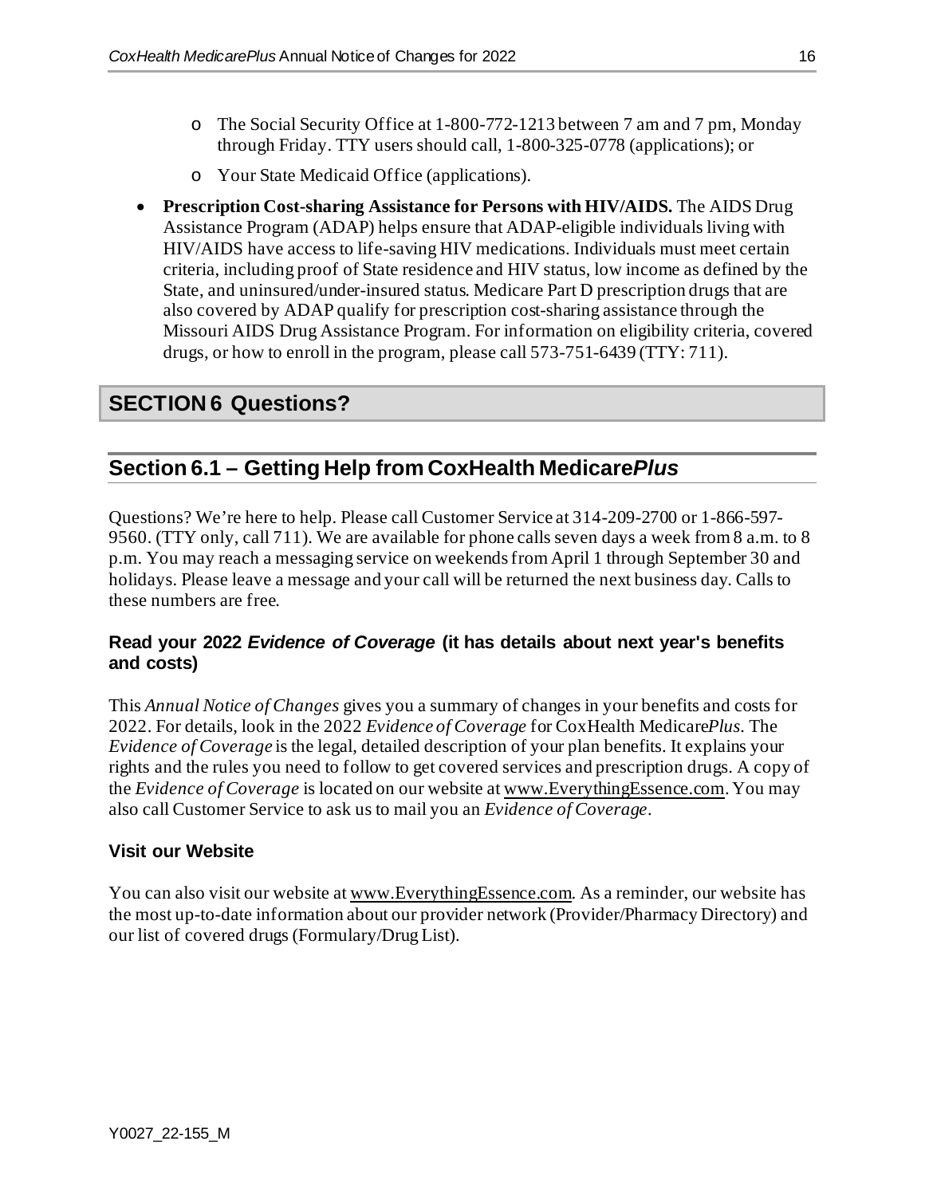- o The Social Security Office at 1-800-772-1213 between 7 am and 7 pm, Monday through Friday. TTY users should call, 1-800-325-0778 (applications); or
- o Your State Medicaid Office (applications).
- **Prescription Cost-sharing Assistance for Persons with HIV/AIDS.** The AIDS Drug Assistance Program (ADAP) helps ensure that ADAP-eligible individuals living with HIV/AIDS have access to life-saving HIV medications. Individuals must meet certain criteria, including proof of State residence and HIV status, low income as defined by the State, and uninsured/under-insured status. Medicare Part D prescription drugs that are also covered by ADAP qualify for prescription cost-sharing assistance through the Missouri AIDS Drug Assistance Program. For information on eligibility criteria, covered drugs, or how to enroll in the program, please call 573-751-6439 (TTY: 711).

# **SECTION 6 Questions?**

# **Section 6.1 – Getting Help from CoxHealth Medicare***Plus*

Questions? We're here to help. Please call Customer Service at 314-209-2700 or 1-866-597- 9560. (TTY only, call 711). We are available for phone calls seven days a week from 8 a.m. to 8 p.m. You may reach a messaging service on weekends from April 1 through September 30 and holidays. Please leave a message and your call will be returned the next business day. Calls to these numbers are free.

#### **Read your 2022** *Evidence of Coverage* **(it has details about next year's benefits and costs)**

This *Annual Notice of Changes* gives you a summary of changes in your benefits and costs for 2022. For details, look in the 2022 *Evidence of Coverage* for CoxHealth Medicare*Plus.* The *Evidence of Coverage* is the legal, detailed description of your plan benefits. It explains your rights and the rules you need to follow to get covered services and prescription drugs. A copy of the *Evidence of Coverage* is located on our website a[t www.EverythingEssence.com](http://www.everythingessence.com/). You may also call Customer Service to ask us to mail you an *Evidence of Coverage*.

#### **Visit our Website**

You can also visit our website a[t www.EverythingEssence.com.](http://www.everythingessence.com/) As a reminder, our website has the most up-to-date information about our provider network (Provider/Pharmacy Directory) and our list of covered drugs (Formulary/Drug List).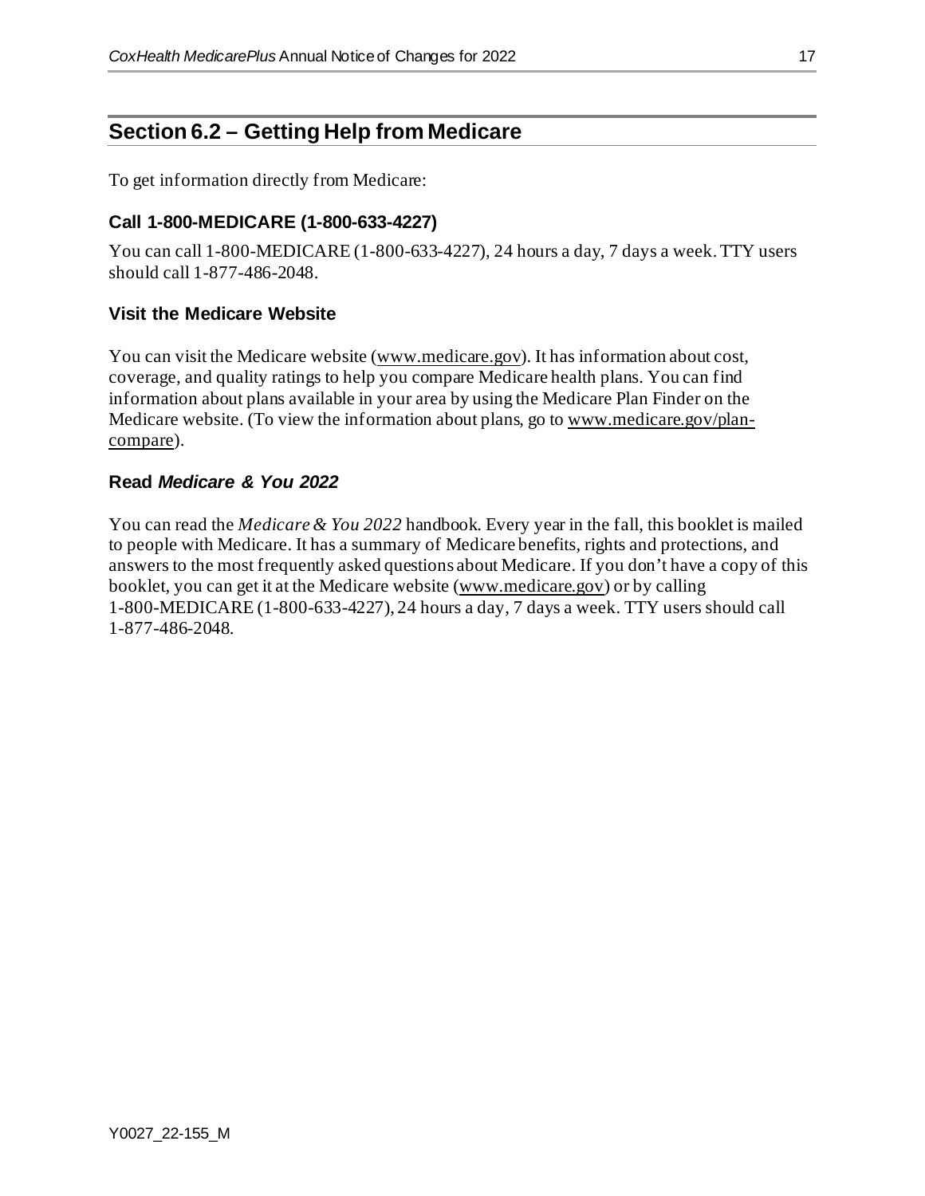# **Section 6.2 – Getting Help from Medicare**

To get information directly from Medicare:

#### **Call 1-800-MEDICARE (1-800-633-4227)**

You can call 1-800-MEDICARE (1-800-633-4227), 24 hours a day, 7 days a week. TTY users should call 1-877-486-2048.

#### **Visit the Medicare Website**

You can visit the Medicare website [\(www.medicare.gov\)](http://www.medicare.gov/). It has information about cost, coverage, and quality ratings to help you compare Medicare health plans. You can find information about plans available in your area by using the Medicare Plan Finder on the Medicare website. (To view the information about plans, go t[o www.medicare.gov/plan](http://www.medicare.gov/plan-compare)[compare\)](http://www.medicare.gov/plan-compare).

#### **Read** *Medicare & You 2022*

You can read the *Medicare & You 2022* handbook. Every year in the fall, this booklet is mailed to people with Medicare. It has a summary of Medicare benefits, rights and protections, and answers to the most frequently asked questions about Medicare. If you don't have a copy of this booklet, you can get it at the Medicare website [\(www.medicare.gov](https://www.medicare.gov/)) or by calling 1-800-MEDICARE (1-800-633-4227), 24 hours a day, 7 days a week. TTY users should call 1-877-486-2048.